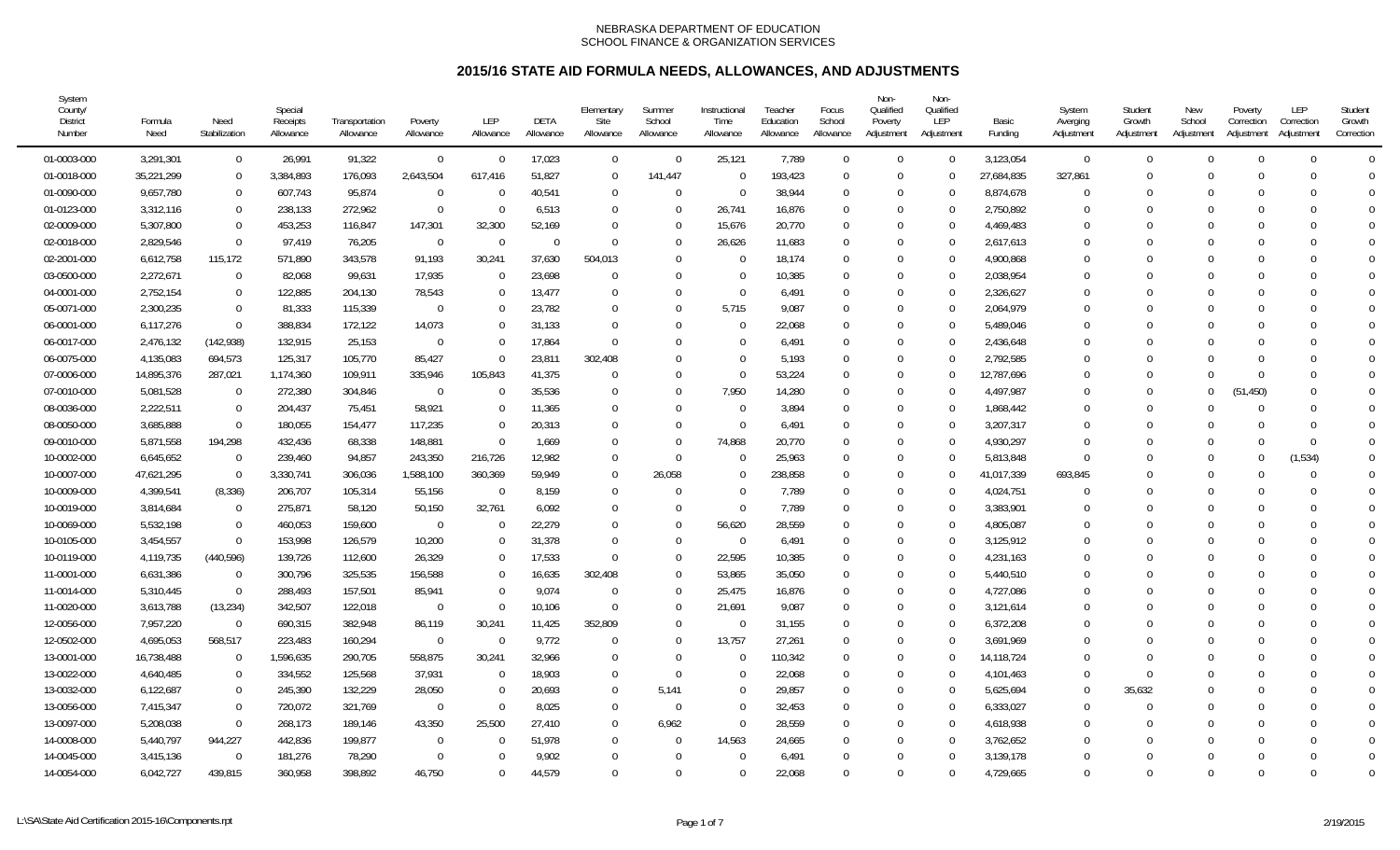| System<br>County/<br><b>District</b><br>Number | Formula<br>Need | Need<br>Stabilization | Special<br>Receipts<br>Allowance | Transportation<br>Allowance | Poverty<br>Allowance | <b>LEP</b><br>Allowance | DETA<br>Allowance | Elementary<br>Site<br>Allowance | Summer<br>School<br>Allowance | Instructional<br>Time<br>Allowance | Teacher<br>Education<br>Allowance | Focus<br>School<br>Allowance | Non-<br>Qualified<br>Poverty<br>Adjustment | Non-<br>Qualified<br>LEP<br>Adjustment | Basic<br>Funding | System<br>Averging<br>Adjustment | Student<br>Growth<br>Adjustment | New<br>School<br>Adjustment | Poverty<br>Correction<br>Adjustment | LEP<br>Correction<br>Adjustment | Student<br>Growth<br>Correction |
|------------------------------------------------|-----------------|-----------------------|----------------------------------|-----------------------------|----------------------|-------------------------|-------------------|---------------------------------|-------------------------------|------------------------------------|-----------------------------------|------------------------------|--------------------------------------------|----------------------------------------|------------------|----------------------------------|---------------------------------|-----------------------------|-------------------------------------|---------------------------------|---------------------------------|
| 01-0003-000                                    | 3,291,301       | $\overline{0}$        | 26,991                           | 91,322                      | $\overline{0}$       | $\Omega$                | 17,023            | $\overline{0}$                  | $\overline{0}$                | 25,121                             | 7,789                             | $\Omega$                     | $\Omega$                                   | $\Omega$                               | 3,123,054        | $\overline{0}$                   | $\Omega$                        | $\Omega$                    | $\Omega$                            | $\theta$                        | $\Omega$                        |
| 01-0018-000                                    | 35,221,299      | $\Omega$              | 3,384,893                        | 176,093                     | 2,643,504            | 617,416                 | 51,827            | $\overline{0}$                  | 141,447                       | $\Omega$                           | 193,423                           | $\Omega$                     | $\Omega$                                   |                                        | 27,684,835       | 327,861                          |                                 | $\cup$                      | $\Omega$                            | $\Omega$                        | $\Omega$                        |
| 01-0090-000                                    | 9,657,780       | $\Omega$              | 607,743                          | 95,874                      | $\overline{0}$       |                         | 40,541            | $\overline{0}$                  | $\Omega$                      | $\overline{0}$                     | 38,944                            | $\Omega$                     | $\Omega$                                   | $\Omega$                               | 8,874,678        | $\theta$                         |                                 |                             |                                     | $\Omega$                        | $\overline{0}$                  |
| 01-0123-000                                    | 3,312,116       | $\Omega$              | 238,133                          | 272,962                     | $\overline{0}$       | $\Omega$                | 6,513             | $\overline{0}$                  | $\Omega$                      | 26,741                             | 16,876                            | $\Omega$                     | $\Omega$                                   | $\Omega$                               | 2,750,892        | $\Omega$                         | 0                               | $\Omega$                    | $\cap$                              | $\Omega$                        | $\Omega$                        |
| 02-0009-000                                    | 5,307,800       | $\Omega$              | 453,253                          | 116,847                     | 147,301              | 32,300                  | 52,169            | $\Omega$                        | $\Omega$                      | 15,676                             | 20,770                            | $\Omega$                     | $\Omega$                                   | $\Omega$                               | 4,469,483        | $\Omega$                         |                                 |                             |                                     | $\Omega$                        | $\Omega$                        |
| 02-0018-000                                    | 2,829,546       | $\Omega$              | 97,419                           | 76,205                      | $\Omega$             | $\Omega$                | $\Omega$          | $\Omega$                        | $\Omega$                      | 26,626                             | 11,683                            | $\Omega$                     | $\Omega$                                   | $\Omega$                               | 2,617,613        | $\Omega$                         |                                 |                             | $\Omega$                            | $\Omega$                        | $\Omega$                        |
| 02-2001-000                                    | 6,612,758       | 115,172               | 571,890                          | 343,578                     | 91,193               | 30,241                  | 37,630            | 504,013                         | $\Omega$                      | $\Omega$                           | 18,174                            | $\Omega$                     | $\Omega$                                   | $\Omega$                               | 4,900,868        | $\Omega$                         |                                 |                             |                                     | $\Omega$                        | $\Omega$                        |
| 03-0500-000                                    | 2,272,671       | $\Omega$              | 82,068                           | 99,631                      | 17,935               | $\Omega$                | 23,698            | $\overline{0}$                  | $\Omega$                      | $\Omega$                           | 10,385                            | $\Omega$                     | $\Omega$                                   | $\Omega$                               | 2,038,954        | $\Omega$                         |                                 |                             |                                     | $\Omega$                        | $\Omega$                        |
| 04-0001-000                                    | 2,752,154       | $\overline{0}$        | 122,885                          | 204,130                     | 78,543               | $\Omega$                | 13,477            | $\overline{0}$                  | $\Omega$                      | $\Omega$                           | 6,491                             | $\Omega$                     | $\Omega$                                   | $\Omega$                               | 2,326,627        | $\Omega$                         |                                 |                             |                                     | 0                               | $\Omega$                        |
| 05-0071-000                                    | 2,300,235       | $\Omega$              | 81,333                           | 115,339                     | $\Omega$             |                         | 23,782            | $\Omega$                        | 0                             | 5.715                              | 9,087                             | $\Omega$                     | $\Omega$                                   | 0                                      | 2,064,979        | $\Omega$                         |                                 |                             |                                     | <sup>0</sup>                    | $\Omega$                        |
| 06-0001-000                                    | 6,117,276       | $\Omega$              | 388,834                          | 172,122                     | 14,073               |                         | 31,133            | $\Omega$                        | $\Omega$                      | $\Omega$                           | 22,068                            | $\Omega$                     | $\Omega$                                   |                                        | 5,489,046        | $\Omega$                         |                                 |                             |                                     | $\Omega$                        | $\bigcap$                       |
| 06-0017-000                                    | 2,476,132       | (142, 938)            | 132,915                          | 25,153                      | $\mathbf 0$          |                         | 17,864            | $\Omega$                        | $\Omega$                      | $\Omega$                           | 6,491                             | $\Omega$                     | $\Omega$                                   | $\Omega$                               | 2,436,648        | $\Omega$                         |                                 | $\Gamma$                    |                                     | <sup>0</sup>                    | $\bigcap$                       |
| 06-0075-000                                    | 4,135,083       | 694,573               | 125,317                          | 105,770                     | 85,427               | $\Omega$                | 23,811            | 302,408                         | 0                             | $\Omega$                           | 5,193                             | $\Omega$                     | $\Omega$                                   | $\Omega$                               | 2,792,585        | $\Omega$                         |                                 |                             |                                     | <sup>0</sup>                    | $\Omega$                        |
| 07-0006-000                                    | 14,895,376      | 287,021               | 1,174,360                        | 109,911                     | 335,946              | 105,843                 | 41,375            | $\Omega$                        | $\Omega$                      | $\Omega$                           | 53,224                            | $\Omega$                     | $\Omega$                                   | 0                                      | 12,787,696       | $\Omega$                         |                                 | $\Omega$                    | $\Omega$                            | $\Omega$                        | $\Omega$                        |
| 07-0010-000                                    | 5,081,528       | $\Omega$              | 272,380                          | 304,846                     | $\Omega$             | $\Omega$                | 35,536            | $\Omega$                        | $\Omega$                      | 7,950                              | 14,280                            | $\Omega$                     | $\Omega$                                   | $\Omega$                               | 4,497,987        | $\Omega$                         | U                               | $\Omega$                    | (51, 450)                           | $\Omega$                        | $\Omega$                        |
| 08-0036-000                                    | 2,222,511       | $\overline{0}$        | 204,437                          | 75,451                      | 58,921               |                         | 11,365            | $\Omega$                        | $\Omega$                      | $\Omega$                           | 3,894                             | $\Omega$                     | $\Omega$                                   | $\Omega$                               | 1,868,442        | $\Omega$                         | 0                               |                             | $\Omega$                            | $\Omega$                        | $\Omega$                        |
| 08-0050-000                                    | 3,685,888       | $\Omega$              | 180,055                          | 154,477                     | 117,235              |                         | 20,313            | $\Omega$                        | $\Omega$                      | $\Omega$                           | 6,491                             | $\Omega$                     | $\Omega$                                   | 0                                      | 3,207,317        | 0                                |                                 |                             | $\Omega$                            | <sup>0</sup>                    | $\Omega$                        |
| 09-0010-000                                    | 5,871,558       | 194,298               | 432,436                          | 68,338                      | 148,881              | $\Omega$                | 1,669             | $\Omega$                        | $\Omega$                      | 74,868                             | 20,770                            | $\Omega$                     | $\Omega$                                   | $\Omega$                               | 4,930,297        | $\Omega$                         |                                 |                             |                                     | $\Omega$                        | $\Omega$                        |
| 10-0002-000                                    | 6,645,652       | $\Omega$              | 239,460                          | 94,857                      | 243,350              | 216,726                 | 12,982            | $\Omega$                        | $\Omega$                      | $\Omega$                           | 25,963                            | $\Omega$                     | $\Omega$                                   | $\Omega$                               | 5,813,848        | $\Omega$                         |                                 | $\cup$                      | $\Omega$                            | (1,534)                         | $\Omega$                        |
| 10-0007-000                                    | 47,621,295      | $\overline{0}$        | 3,330,741                        | 306,036                     | 1,588,100            | 360,369                 | 59,949            | $\overline{0}$                  | 26,058                        | $\Omega$                           | 238,858                           | $\Omega$                     | $\Omega$                                   | $\Omega$                               | 41,017,339       | 693,845                          |                                 | $\Omega$                    |                                     | $\Omega$                        | $\Omega$                        |
| 10-0009-000                                    | 4,399,541       | (8, 336)              | 206,707                          | 105,314                     | 55,156               | $\Omega$                | 8,159             | $\Omega$                        | $\Omega$                      | $\Omega$                           | 7,789                             | $\Omega$                     | $\Omega$                                   |                                        | 4,024,751        | $\Omega$                         |                                 | $\Omega$                    |                                     | $\Omega$                        | $\Omega$                        |
| 10-0019-000                                    | 3,814,684       | $\overline{0}$        | 275,871                          | 58,120                      | 50,150               | 32,761                  | 6,092             | $\Omega$                        | $\Omega$                      | $\Omega$                           | 7,789                             | $\Omega$                     | $\Omega$                                   | $\Omega$                               | 3,383,901        | 0                                |                                 | $\Omega$                    |                                     | <sup>0</sup>                    | $\bigcap$                       |
| 10-0069-000                                    | 5,532,198       | $\overline{0}$        | 460,053                          | 159,600                     | $\Omega$             | $\Omega$                | 22,279            | $\Omega$                        | $\Omega$                      | 56,620                             | 28,559                            | $\Omega$                     | $\Omega$                                   | $\Omega$                               | 4,805,087        | $\Omega$                         |                                 |                             |                                     | $\Omega$                        | $\bigcap$                       |
| 10-0105-000                                    | 3,454,557       | $\overline{0}$        | 153,998                          | 126,579                     | 10,200               | $\Omega$                | 31,378            | $\Omega$                        | $\Omega$                      | $\Omega$                           | 6,491                             | $\Omega$                     | $\Omega$                                   | $\Omega$                               | 3,125,912        | $\Omega$                         |                                 |                             | $\Omega$                            | $\Omega$                        | $\Omega$                        |
| 10-0119-000                                    | 4,119,735       | (440, 596)            | 139,726                          | 112,600                     | 26,329               |                         | 17,533            | $\Omega$                        | $\Omega$                      | 22,595                             | 10,385                            | $\Omega$                     | $\Omega$                                   | $\Omega$                               | 4,231,163        | $\Omega$                         |                                 |                             |                                     | $\Omega$                        | $\Omega$                        |
| 11-0001-000                                    | 6,631,386       | $\Omega$              | 300,796                          | 325,535                     | 156,588              |                         | 16,635            | 302,408                         | $\Omega$                      | 53,865                             | 35,050                            | $\Omega$                     | $\Omega$                                   |                                        | 5,440,510        | $\Omega$                         |                                 |                             | $\Omega$                            | $\Omega$                        | $\Omega$                        |
| 11-0014-000                                    | 5,310,445       | $\overline{0}$        | 288,493                          | 157,501                     | 85,941               | $\Omega$                | 9,074             | $\Omega$                        | $\Omega$                      | 25,475                             | 16,876                            | $\Omega$                     | $\Omega$                                   | $\Omega$                               | 4,727,086        | $\Omega$                         | U                               | $\Omega$                    | $\Omega$                            | ∩                               | $\bigcap$                       |
| 11-0020-000                                    | 3,613,788       | (13, 234)             | 342,507                          | 122,018                     | $\Omega$             | $\Omega$                | 10,106            | $\Omega$                        | $\Omega$                      | 21,691                             | 9,087                             | $\Omega$                     | $\Omega$                                   | $\Omega$                               | 3,121,614        | $\Omega$                         |                                 | $\cap$                      |                                     | $\Omega$                        | $\bigcap$                       |
| 12-0056-000                                    | 7,957,220       | $\mathbf 0$           | 690,315                          | 382,948                     | 86,119               | 30,241                  | 11,425            | 352,809                         | $\Omega$                      | $\Omega$                           | 31,155                            | $\Omega$                     | $\Omega$                                   | $\Omega$                               | 6,372,208        | $\Omega$                         |                                 |                             |                                     | $\Omega$                        | $\bigcap$                       |
| 12-0502-000                                    | 4,695,053       | 568,517               | 223,483                          | 160,294                     | $\Omega$             | $\Omega$                | 9,772             | $\Omega$                        | $\Omega$                      | 13,757                             | 27,261                            | $\Omega$                     | $\Omega$                                   | $\Omega$                               | 3,691,969        | $\Omega$                         |                                 |                             |                                     | $\Omega$                        | $\Omega$                        |
| 13-0001-000                                    | 16,738,488      | $\Omega$              | 1,596,635                        | 290,705                     | 558,875              | 30,241                  | 32,966            | $\Omega$                        | $\Omega$                      | $\Omega$                           | 110,342                           | $\Omega$                     | $\Omega$                                   |                                        | 14,118,724       | $\Omega$                         |                                 |                             | $\Omega$                            | $\Omega$                        | $\bigcap$                       |
| 13-0022-000                                    | 4,640,485       | $\overline{0}$        | 334,552                          | 125,568                     | 37,931               | $\Omega$                | 18,903            | $\Omega$                        | - 0                           | $\Omega$                           | 22,068                            | $\Omega$                     | $\Omega$                                   | $\Omega$                               | 4,101,463        | $\Omega$                         |                                 |                             |                                     | ∩                               | $\bigcap$                       |
| 13-0032-000                                    | 6,122,687       | $\mathbf 0$           | 245,390                          | 132,229                     | 28,050               | $\Omega$                | 20,693            | $\overline{0}$                  | 5,141                         | $\Omega$                           | 29,857                            | $\Omega$                     | $\Omega$                                   | $\Omega$                               | 5,625,694        | $\mathbf 0$                      | 35,632                          |                             |                                     | $\Omega$                        | $\bigcap$                       |
| 13-0056-000                                    | 7,415,347       | $\Omega$              | 720,072                          | 321,769                     | $\mathbf 0$          | $\Omega$                | 8,025             | $\overline{0}$                  | $\Omega$                      | $\Omega$                           | 32,453                            | $\Omega$                     | $\Omega$                                   | $\Omega$                               | 6,333,027        | $\Omega$                         |                                 |                             | $\Omega$                            | $\Omega$                        | $\Omega$                        |
| 13-0097-000                                    | 5,208,038       | $\overline{0}$        | 268,173                          | 189,146                     | 43,350               | 25,500                  | 27,410            | $\mathbf 0$                     | 6,962                         | $\Omega$                           | 28,559                            | $\Omega$                     | $\Omega$                                   | $\theta$                               | 4,618,938        | $\Omega$                         |                                 |                             | $\Omega$                            | $\Omega$                        | $\overline{0}$                  |
| 14-0008-000                                    | 5,440,797       | 944,227               | 442,836                          | 199,877                     | $\Omega$             |                         | 51,978            | $\mathbf{0}$                    | $\Omega$                      | 14,563                             | 24,665                            | $\Omega$                     | $\Omega$                                   | $\Omega$                               | 3,762,652        | $\Omega$                         |                                 |                             |                                     | $\Omega$                        | $\overline{0}$                  |
| 14-0045-000                                    | 3,415,136       | $\Omega$              | 181,276                          | 78,290                      | $\Omega$             |                         | 9,902             | $\overline{0}$                  | $\Omega$                      | $\Omega$                           | 6,491                             | $\Omega$                     | $\Omega$                                   |                                        | 3,139,178        | $\Omega$                         | U                               | $\Gamma$                    |                                     | $\Omega$                        | $\Omega$                        |
| 14-0054-000                                    | 6,042,727       | 439,815               | 360,958                          | 398,892                     | 46,750               | $\Omega$                | 44,579            | $\Omega$                        | $\Omega$                      | $\Omega$                           | 22,068                            | $\Omega$                     | $\Omega$                                   | $\Omega$                               | 4,729,665        | $\Omega$                         | $\Omega$                        | $\cap$                      | $\Omega$                            | $\Omega$                        | $\Omega$                        |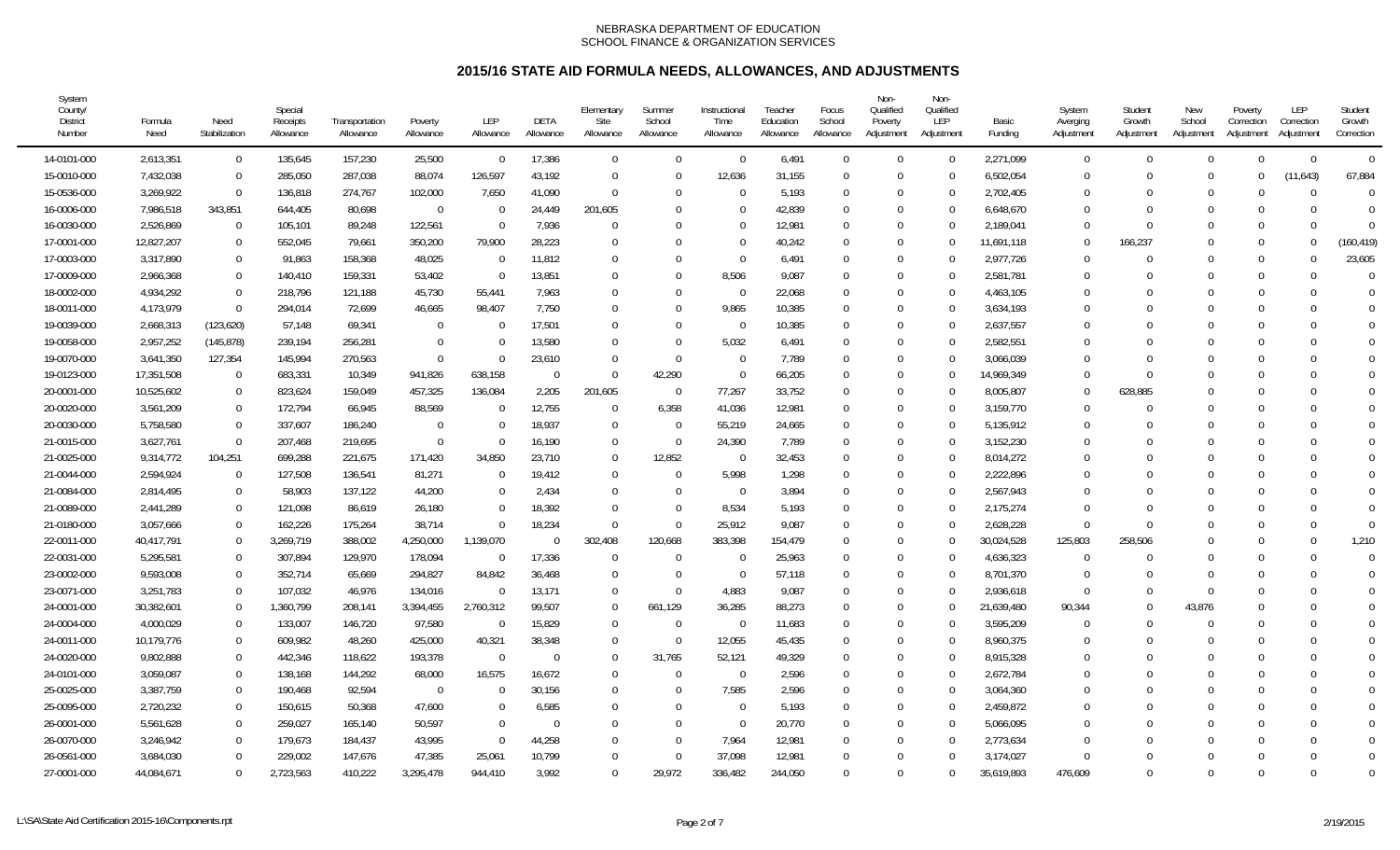| System<br>County/<br><b>District</b><br>Number | Formula<br>Need | Need<br>Stabilization | Special<br>Receipts<br>Allowance | Transportation<br>Allowance | Poverty<br>Allowance | <b>LEP</b><br>Allowance | DETA<br>Allowance | Elementary<br>Site<br>Allowance | Summer<br>School<br>Allowance | Instructional<br>Time<br>Allowance | Teacher<br>Education<br>Allowance | Focus<br>School<br>Allowance | Non-<br>Qualified<br>Poverty<br>Adjustment | Non-<br>Qualified<br>LEP<br>Adjustment | Basic<br>Funding | System<br>Averging<br>Adjustment | Student<br>Growth<br>Adjustment | New<br>School<br>Adjustment | Poverty<br>Correction<br>Adjustment | LEP<br>Correction<br>Adjustment | Student<br>Growth<br>Correction |
|------------------------------------------------|-----------------|-----------------------|----------------------------------|-----------------------------|----------------------|-------------------------|-------------------|---------------------------------|-------------------------------|------------------------------------|-----------------------------------|------------------------------|--------------------------------------------|----------------------------------------|------------------|----------------------------------|---------------------------------|-----------------------------|-------------------------------------|---------------------------------|---------------------------------|
| 14-0101-000                                    | 2,613,351       | $\mathbf 0$           | 135,645                          | 157,230                     | 25,500               | $\Omega$                | 17,386            | $\mathbf 0$                     | $\Omega$                      | $\overline{0}$                     | 6,491                             | $\Omega$                     | $\Omega$                                   | $\Omega$                               | 2,271,099        | $\mathbf 0$                      | $\Omega$                        | $\Omega$                    | $\Omega$                            | $\Omega$                        | $\overline{0}$                  |
| 15-0010-000                                    | 7,432,038       | $\Omega$              | 285,050                          | 287,038                     | 88,074               | 126,597                 | 43,192            | $\Omega$                        | $\Omega$                      | 12,636                             | 31,155                            | $\Omega$                     | $\Omega$                                   | $\Omega$                               | 6,502,054        | $\Omega$                         |                                 | $\Omega$                    | $\Omega$                            | (11, 643)                       | 67,884                          |
| 15-0536-000                                    | 3,269,922       | $\Omega$              | 136,818                          | 274,767                     | 102,000              | 7,650                   | 41,090            | $\overline{0}$                  | $\Omega$                      | $\Omega$                           | 5,193                             | $\Omega$                     | $\Omega$                                   | $\Omega$                               | 2,702,405        | $\Omega$                         |                                 | $\Omega$                    | $\Omega$                            |                                 | $\Omega$                        |
| 16-0006-000                                    | 7,986,518       | 343,851               | 644,405                          | 80,698                      | $\mathbf{0}$         | $\Omega$                | 24,449            | 201,605                         | $\Omega$                      | $\Omega$                           | 42,839                            | $\Omega$                     | $\Omega$                                   | $\Omega$                               | 6,648,670        | $\Omega$                         |                                 | $\Omega$                    | $\Omega$                            | U                               | $\Omega$                        |
| 16-0030-000                                    | 2,526,869       | $\Omega$              | 105,101                          | 89,248                      | 122,561              | $\Omega$                | 7,936             | $\Omega$                        | $\Omega$                      | $\Omega$                           | 12,981                            | $\Omega$                     | $\Omega$                                   | $\Omega$                               | 2,189,041        | $\Omega$                         |                                 | $\Omega$                    | $\Omega$                            |                                 | $\Omega$                        |
| 17-0001-000                                    | 12,827,207      | $\Omega$              | 552,045                          | 79,661                      | 350,200              | 79,900                  | 28,223            | $\Omega$                        | $\Omega$                      | $\Omega$                           | 40,242                            | $\Omega$                     | $\Omega$                                   |                                        | 11,691,118       | $\Omega$                         | 166,237                         | $\Omega$                    | $\Omega$                            |                                 | (160, 419)                      |
| 17-0003-000                                    | 3,317,890       | $\Omega$              | 91,863                           | 158,368                     | 48,025               | $\Omega$                | 11,812            | $\Omega$                        | $\Omega$                      | $\Omega$                           | 6,491                             | $\Omega$                     | $\Omega$                                   |                                        | 2,977,726        | $\Omega$                         |                                 | $\Omega$                    | $\Omega$                            |                                 | 23,605                          |
| 17-0009-000                                    | 2,966,368       | $\Omega$              | 140,410                          | 159,331                     | 53,402               | $\Omega$                | 13,851            | $\Omega$                        | $\Omega$                      | 8,506                              | 9,087                             | $\Omega$                     | $\Omega$                                   | $\Omega$                               | 2,581,781        | $\theta$                         |                                 | $\Omega$                    | $\Omega$                            |                                 | $\Omega$                        |
| 18-0002-000                                    | 4,934,292       | $\Omega$              | 218,796                          | 121,188                     | 45,730               | 55,441                  | 7,963             | $\Omega$                        | $\Omega$                      | $\Omega$                           | 22,068                            | $\Omega$                     | $\Omega$                                   | $\Omega$                               | 4,463,105        | $\theta$                         |                                 | $\Omega$                    | $\Omega$                            |                                 | $\Omega$                        |
| 18-0011-000                                    | 4,173,979       | $\Omega$              | 294,014                          | 72,699                      | 46,665               | 98,407                  | 7,750             | $\Omega$                        | C                             | 9,865                              | 10,385                            | $\Omega$                     | $\Omega$                                   | $\Omega$                               | 3,634,193        | 0                                |                                 |                             |                                     |                                 | $\Omega$                        |
| 19-0039-000                                    | 2,668,313       | (123, 620)            | 57,148                           | 69,341                      | $\Omega$             |                         | 17,501            | $\Omega$                        | $\Omega$                      | $\Omega$                           | 10,385                            | $\Omega$                     | $\Omega$                                   | $\Omega$                               | 2,637,557        | $\Omega$                         |                                 |                             | $\Omega$                            |                                 | $\Omega$                        |
| 19-0058-000                                    | 2,957,252       | (145, 878)            | 239,194                          | 256,281                     | $\mathbf 0$          |                         | 13,580            | $\Omega$                        | $\Omega$                      | 5,032                              | 6,491                             | $\Omega$                     | $\Omega$                                   | $\Omega$                               | 2,582,551        | 0                                |                                 | $\Omega$                    |                                     |                                 |                                 |
| 19-0070-000                                    | 3,641,350       | 127,354               | 145,994                          | 270,563                     | $\Omega$             | 0                       | 23,610            | $\overline{0}$                  | $\Omega$                      | $\Omega$                           | 7,789                             | $\Omega$                     | $\Omega$                                   | $\Omega$                               | 3,066,039        | $\Omega$                         |                                 | $\Omega$                    |                                     |                                 | $\Omega$                        |
| 19-0123-000                                    | 17,351,508      | $\Omega$              | 683,331                          | 10,349                      | 941,826              | 638,158                 | $\Omega$          | $\Omega$                        | 42,290                        | $\Omega$                           | 66,205                            | $\Omega$                     | $\Omega$                                   | $\Omega$                               | 14,969,349       | $\Omega$                         |                                 | $\Omega$                    | $\Omega$                            |                                 | $\Omega$                        |
| 20-0001-000                                    | 10,525,602      | $\Omega$              | 823,624                          | 159,049                     | 457,325              | 136,084                 | 2,205             | 201,605                         | - 0                           | 77,267                             | 33,752                            | $\Omega$                     | $\Omega$                                   | $\Omega$                               | 8,005,807        | $\Omega$                         | 628,885                         | 0                           | $\Omega$                            |                                 | $\Omega$                        |
| 20-0020-000                                    | 3,561,209       | $\Omega$              | 172,794                          | 66,945                      | 88,569               |                         | 12,755            | $\Omega$                        | 6,358                         | 41,036                             | 12,981                            | $\Omega$                     | $\Omega$                                   | $\Omega$                               | 3,159,770        | $\Omega$                         |                                 | $\Omega$                    | $\Omega$                            |                                 | $\Omega$                        |
| 20-0030-000                                    | 5,758,580       | $\Omega$              | 337,607                          | 186,240                     | -0                   |                         | 18,937            | - 0                             | - 0                           | 55,219                             | 24,665                            | $\Omega$                     | $\Omega$                                   | $\Omega$                               | 5,135,912        | $\Omega$                         |                                 |                             |                                     |                                 |                                 |
| 21-0015-000                                    | 3,627,761       | $\Omega$              | 207,468                          | 219,695                     | $\Omega$             |                         | 16,190            | $\overline{0}$                  | $\Omega$                      | 24,390                             | 7,789                             | $\Omega$                     | $\Omega$                                   | $\Omega$                               | 3,152,230        | $\Omega$                         |                                 |                             |                                     |                                 |                                 |
| 21-0025-000                                    | 9,314,772       | 104,251               | 699,288                          | 221,675                     | 171,420              | 34,850                  | 23,710            | $\Omega$                        | 12,852                        | $\Omega$                           | 32,453                            | $\Omega$                     | $\Omega$                                   | $\Omega$                               | 8,014,272        | 0                                |                                 | $\Omega$                    | $\Omega$                            |                                 | $\Omega$                        |
| 21-0044-000                                    | 2,594,924       | $\Omega$              | 127,508                          | 136,541                     | 81,271               | $\Omega$                | 19,412            | $\overline{0}$                  | $\Omega$                      | 5.998                              | 1,298                             | $\Omega$                     | $\Omega$                                   | $\Omega$                               | 2,222,896        | 0                                |                                 | $\Omega$                    | $\Omega$                            |                                 | $\Omega$                        |
| 21-0084-000                                    | 2,814,495       | $\Omega$              | 58,903                           | 137,122                     | 44,200               |                         | 2,434             | $\Omega$                        | $\Omega$                      | $\Omega$                           | 3,894                             | $\Omega$                     | $\Omega$                                   |                                        | 2,567,943        | $\Omega$                         |                                 |                             | $\Omega$                            |                                 | $\Omega$                        |
| 21-0089-000                                    | 2,441,289       | $\Omega$              | 121,098                          | 86,619                      | 26,180               |                         | 18,392            | $\Omega$                        | $\Omega$                      | 8,534                              | 5,193                             | $\Omega$                     | $\Omega$                                   | $\Omega$                               | 2,175,274        | $\Omega$                         |                                 | $\Omega$                    | $\Omega$                            |                                 | $\Omega$                        |
| 21-0180-000                                    | 3,057,666       | $\Omega$              | 162,226                          | 175,264                     | 38,714               | 0                       | 18,234            | $\Omega$                        | $\Omega$                      | 25,912                             | 9,087                             | $\Omega$                     | $\Omega$                                   | $\Omega$                               | 2,628,228        | $\Omega$                         |                                 | $\Omega$                    | $\Omega$                            |                                 | $\Omega$                        |
| 22-0011-000                                    | 40,417,791      | $\Omega$              | 3,269,719                        | 388,002                     | 4,250,000            | 1,139,070               | $\Omega$          | 302,408                         | 120,668                       | 383,398                            | 154,479                           | $\Omega$                     | $\Omega$                                   | $\Omega$                               | 30,024,528       | 125,803                          | 258,506                         | $\Omega$                    | $\Omega$                            | U                               | 1,210                           |
| 22-0031-000                                    | 5,295,581       | $\Omega$              | 307,894                          | 129,970                     | 178,094              | $\Omega$                | 17,336            | $\Omega$                        | $\Omega$                      | $\Omega$                           | 25,963                            | $\Omega$                     | $\Omega$                                   | $\Omega$                               | 4,636,323        | $\Omega$                         |                                 | $\Omega$                    | $\Omega$                            |                                 | $\Omega$                        |
| 23-0002-000                                    | 9,593,008       | $\Omega$              | 352,714                          | 65,669                      | 294,827              | 84,842                  | 36,468            | $\Omega$                        | $\Omega$                      | $\Omega$                           | 57,118                            | $\Omega$                     | $\Omega$                                   |                                        | 8,701,370        | $\Omega$                         |                                 |                             | $\Omega$                            |                                 | $\Omega$                        |
| 23-0071-000                                    | 3,251,783       | $\Omega$              | 107,032                          | 46,976                      | 134,016              | $\Omega$                | 13,171            | $\overline{0}$                  | $\Omega$                      | 4,883                              | 9,087                             | $\Omega$                     | $\Omega$                                   | $\Omega$                               | 2,936,618        | $\Omega$                         |                                 | $\Omega$                    | $\Omega$                            |                                 | $\Omega$                        |
| 24-0001-000                                    | 30,382,601      | $\Omega$              | 1,360,799                        | 208,141                     | 3,394,455            | 2,760,312               | 99,507            | $\Omega$                        | 661,129                       | 36,285                             | 88,273                            | $\Omega$                     | $\Omega$                                   | ∩                                      | 21,639,480       | 90,344                           |                                 | 43,876                      |                                     |                                 | $\Omega$                        |
| 24-0004-000                                    | 4,000,029       | $\Omega$              | 133,007                          | 146,720                     | 97,580               | $\Omega$                | 15,829            | $\Omega$                        | $\Omega$                      | $\Omega$                           | 11,683                            | $\Omega$                     | $\Omega$                                   | $\Omega$                               | 3,595,209        | $\Omega$                         |                                 | $\Omega$                    | $\Omega$                            |                                 | $\Omega$                        |
| 24-0011-000                                    | 10,179,776      | $\Omega$              | 609,982                          | 48,260                      | 425,000              | 40,321                  | 38,348            | $\mathbf 0$                     | - 0                           | 12,055                             | 45,435                            | $\Omega$                     | $\Omega$                                   | $\Omega$                               | 8,960,375        | 0                                |                                 | $\Omega$                    | $\Omega$                            |                                 | $\Omega$                        |
| 24-0020-000                                    | 9,802,888       | $\Omega$              | 442,346                          | 118,622                     | 193,378              | $\Omega$                | $\Omega$          | $\mathbf 0$                     | 31,765                        | 52,121                             | 49,329                            | $\Omega$                     | $\Omega$                                   |                                        | 8,915,328        | $\Omega$                         |                                 | $\Omega$                    | $\Omega$                            |                                 |                                 |
| 24-0101-000                                    | 3,059,087       | $\Omega$              | 138,168                          | 144,292                     | 68,000               | 16,575                  | 16,672            | $\Omega$                        | $\Omega$                      | $\Omega$                           | 2,596                             | $\Omega$                     | $\Omega$                                   | $\Omega$                               | 2,672,784        | 0                                |                                 |                             |                                     |                                 |                                 |
| 25-0025-000                                    | 3,387,759       | $\mathbf 0$           | 190,468                          | 92,594                      | $\mathbf{0}$         |                         | 30,156            | $\mathbf{0}$                    | 0                             | 7,585                              | 2,596                             | $\Omega$                     | $\Omega$                                   | $\Omega$                               | 3,064,360        | $\Omega$                         |                                 |                             |                                     |                                 | $\Omega$                        |
| 25-0095-000                                    | 2,720,232       | $\Omega$              | 150,615                          | 50,368                      | 47,600               | $\Omega$                | 6,585             | $\Omega$                        | $\Omega$                      | $\Omega$                           | 5,193                             | $\Omega$                     | $\Omega$                                   | $\Omega$                               | 2,459,872        | $\Omega$                         |                                 |                             | $\Omega$                            |                                 | $\Omega$                        |
| 26-0001-000                                    | 5,561,628       | $\Omega$              | 259,027                          | 165,140                     | 50,597               | $\Omega$                | $\Omega$          | $\Omega$                        | $\Omega$                      | $\Omega$                           | 20,770                            | $\Omega$                     | $\Omega$                                   | $\Omega$                               | 5,066,095        | $\Omega$                         |                                 | $\Omega$                    | $\Omega$                            |                                 | $\Omega$                        |
| 26-0070-000                                    | 3,246,942       | $\Omega$              | 179,673                          | 184,437                     | 43,995               |                         | 44,258            | $\Omega$                        | $\sqrt{ }$                    | 7,964                              | 12,981                            | $\Omega$                     | $\Omega$                                   | $\Omega$                               | 2,773,634        | $\Omega$                         |                                 | $\Omega$                    | $\Omega$                            |                                 | $\Omega$                        |
| 26-0561-000                                    | 3,684,030       | $\Omega$              | 229,002                          | 147,676                     | 47,385               | 25,061                  | 10,799            | $\Omega$                        | $\Omega$                      | 37,098                             | 12,981                            | $\Omega$                     | $\Omega$                                   |                                        | 3,174,027        | $\Omega$                         |                                 | $\Omega$                    | $\Omega$                            |                                 | $\Omega$                        |
| 27-0001-000                                    | 44,084,671      | $\Omega$              | 2,723,563                        | 410,222                     | 3,295,478            | 944,410                 | 3,992             | $\Omega$                        | 29,972                        | 336,482                            | 244,050                           | $\Omega$                     | $\Omega$                                   | $\Omega$                               | 35,619,893       | 476,609                          | U                               | $\Omega$                    | $\Omega$                            |                                 | $\Omega$                        |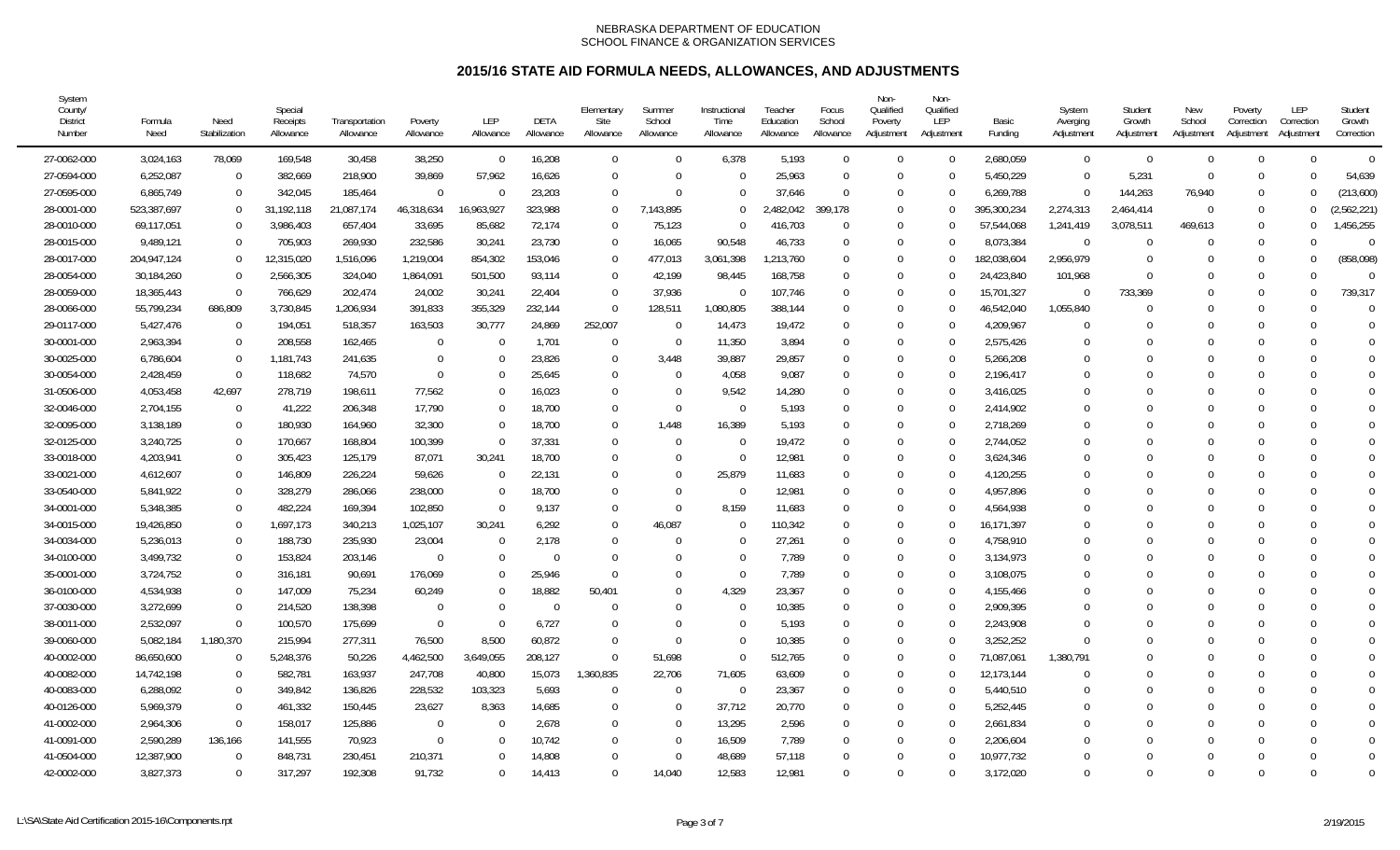| System<br>County/<br><b>District</b><br>Number | Formula<br>Need | Need<br>Stabilization | Special<br>Receipts<br>Allowance | Transportation<br>Allowance | Poverty<br>Allowance | <b>LEP</b><br>Allowance | DETA<br>Allowance | Elementary<br>Site<br>Allowance | Summer<br>School<br>Allowance | Instructional<br>Time<br>Allowance | Teacher<br>Education<br>Allowance | Focus<br>School<br>Allowance | Non-<br>Qualified<br>Poverty<br>Adjustment | Non-<br>Qualified<br>LEP<br>Adjustment | Basic<br>Funding | System<br>Averging<br>Adjustment | Student<br>Growth<br>Adjustment | New<br>School<br>Adjustment | Poverty<br>Correction<br>Adjustment | LEP<br>Correction<br>Adjustment | Student<br>Growth<br>Correction |
|------------------------------------------------|-----------------|-----------------------|----------------------------------|-----------------------------|----------------------|-------------------------|-------------------|---------------------------------|-------------------------------|------------------------------------|-----------------------------------|------------------------------|--------------------------------------------|----------------------------------------|------------------|----------------------------------|---------------------------------|-----------------------------|-------------------------------------|---------------------------------|---------------------------------|
| 27-0062-000                                    | 3,024,163       | 78,069                | 169,548                          | 30,458                      | 38,250               | $\Omega$                | 16,208            | $\overline{0}$                  | $\Omega$                      | 6,378                              | 5,193                             | $\Omega$                     | $\Omega$                                   | $\Omega$                               | 2,680,059        | $\overline{0}$                   | $\Omega$                        | $\Omega$                    | $\Omega$                            | $\Omega$                        | $\overline{0}$                  |
| 27-0594-000                                    | 6,252,087       | $\Omega$              | 382,669                          | 218,900                     | 39,869               | 57,962                  | 16,626            | $\overline{0}$                  | $\Omega$                      | $\Omega$                           | 25,963                            | $\Omega$                     | $\Omega$                                   | $\Omega$                               | 5,450,229        | $\overline{0}$                   | 5,231                           | $\Omega$                    | $\Omega$                            | <sup>0</sup>                    | 54,639                          |
| 27-0595-000                                    | 6,865,749       | $\Omega$              | 342,045                          | 185,464                     | $\Omega$             | $\Omega$                | 23,203            | $\Omega$                        | $\Omega$                      | $\Omega$                           | 37,646                            | $\Omega$                     | $\Omega$                                   | $\Omega$                               | 6,269,788        | $\Omega$                         | 144,263                         | 76,940                      | $\Omega$                            | <sup>0</sup>                    | (213,600)                       |
| 28-0001-000                                    | 523,387,697     | $\Omega$              | 31,192,118                       | 21,087,174                  | 46,318,634           | 16,963,927              | 323,988           | $\Omega$                        | 7,143,895                     | $\Omega$                           | .482,042                          | 399.178                      | $\Omega$                                   | $\Omega$                               | 395,300,234      | 2,274,313                        | 2,464,414                       | $\Omega$                    | $\Omega$                            | $\Omega$                        | ,562,221)                       |
| 28-0010-000                                    | 69,117,051      | $\Omega$              | 3,986,403                        | 657,404                     | 33,695               | 85,682                  | 72,174            | $\Omega$                        | 75,123                        | $\Omega$                           | 416,703                           | $\Omega$                     | $\Omega$                                   | $\Omega$                               | 57,544,068       | 1,241,419                        | 3,078,511                       | 469.613                     | $\Omega$                            | $\Omega$                        | ,456,255                        |
| 28-0015-000                                    | 9,489,121       | $\Omega$              | 705,903                          | 269,930                     | 232,586              | 30,241                  | 23,730            | $\overline{0}$                  | 16,065                        | 90,548                             | 46,733                            | $\Omega$                     | $\Omega$                                   |                                        | 8,073,384        | $\Omega$                         |                                 |                             | $\Omega$                            | $\Omega$                        | $\bigcap$                       |
| 28-0017-000                                    | 204,947,124     | $\Omega$              | 12,315,020                       | 1,516,096                   | 1,219,004            | 854,302                 | 153,046           | - 0                             | 477,013                       | 3,061,398                          | 1,213,760                         | $\Omega$                     | $\Omega$                                   |                                        | 182,038,604      | 2,956,979                        |                                 |                             | $\Omega$                            | ∩                               | (858,098)                       |
| 28-0054-000                                    | 30,184,260      | $\Omega$              | 2,566,305                        | 324,040                     | 1,864,091            | 501,500                 | 93,114            | $\overline{0}$                  | 42,199                        | 98,445                             | 168,758                           | $\Omega$                     | $\Omega$                                   |                                        | 24,423,840       | 101,968                          |                                 |                             |                                     | $\Omega$                        | $\bigcap$                       |
| 28-0059-000                                    | 18,365,443      | $\Omega$              | 766,629                          | 202,474                     | 24,002               | 30,241                  | 22,404            | $\Omega$                        | 37.936                        | $\Omega$                           | 107,746                           | $\Omega$                     | $\Omega$                                   | $\Omega$                               | 15,701,327       | $\Omega$                         | 733,369                         |                             | $\Omega$                            | $\Omega$                        | 739,317                         |
| 28-0066-000                                    | 55,799,234      | 686,809               | 3,730,845                        | 1,206,934                   | 391,833              | 355,329                 | 232,144           | $\Omega$                        | 128,511                       | 1,080,805                          | 388,144                           | $\Omega$                     | $\Omega$                                   | $\Omega$                               | 46,542,040       | 1,055,840                        |                                 |                             |                                     | $\Omega$                        | $\bigcap$                       |
| 29-0117-000                                    | 5,427,476       | $\Omega$              | 194,051                          | 518,357                     | 163,503              | 30,777                  | 24,869            | 252,007                         | - 0                           | 14,473                             | 19,472                            | $\Omega$                     | $\Omega$                                   |                                        | 4,209,967        | $\Omega$                         |                                 |                             | $\Omega$                            | $\Omega$                        | $\bigcap$                       |
| 30-0001-000                                    | 2,963,394       | $\Omega$              | 208,558                          | 162,465                     | $\Omega$             |                         | 1,701             | $\Omega$                        | - 0                           | 11,350                             | 3,894                             | $\Omega$                     | $\Omega$                                   | $\Omega$                               | 2,575,426        | 0                                |                                 | $\Gamma$                    |                                     | ∩                               | $\bigcap$                       |
| 30-0025-000                                    | 6,786,604       | $\overline{0}$        | 1,181,743                        | 241,635                     | $\Omega$             |                         | 23,826            | $\Omega$                        | 3,448                         | 39,887                             | 29,857                            | $\Omega$                     | $\Omega$                                   | ∩                                      | 5,266,208        | $\Omega$                         |                                 |                             |                                     | ∩                               | $\bigcap$                       |
| 30-0054-000                                    | 2,428,459       | $\overline{0}$        | 118,682                          | 74,570                      | $\Omega$             |                         | 25,645            | $\overline{0}$                  | $\Omega$                      | 4,058                              | 9,087                             | $\Omega$                     | $\Omega$                                   | $\Omega$                               | 2,196,417        | $\Omega$                         |                                 |                             |                                     | $\Omega$                        | $\Omega$                        |
| 31-0506-000                                    | 4,053,458       | 42,697                | 278,719                          | 198,611                     | 77,562               |                         | 16,023            | $\Omega$                        | $\Omega$                      | 9,542                              | 14,280                            | $\Omega$                     | $\Omega$                                   | $\Omega$                               | 3,416,025        | $\Omega$                         |                                 |                             |                                     | $\Omega$                        | $\Omega$                        |
| 32-0046-000                                    | 2,704,155       | $\Omega$              | 41,222                           | 206,348                     | 17,790               |                         | 18,700            | $\overline{0}$                  | $\Omega$                      | $\Omega$                           | 5,193                             | $\Omega$                     | $\Omega$                                   |                                        | 2,414,902        | $\Omega$                         |                                 |                             |                                     |                                 | $\bigcap$                       |
| 32-0095-000                                    | 3,138,189       | $\mathbf 0$           | 180,930                          | 164,960                     | 32,300               |                         | 18,700            | $\overline{0}$                  | 1,448                         | 16,389                             | 5,193                             | $\Omega$                     | $\Omega$                                   |                                        | 2,718,269        | $\Omega$                         |                                 |                             |                                     | ∩                               | $\bigcap$                       |
| 32-0125-000                                    | 3,240,725       | $\Omega$              | 170,667                          | 168,804                     | 100,399              | $\Omega$                | 37,331            | $\overline{0}$                  | $\Omega$                      | $\Omega$                           | 19,472                            | $\Omega$                     | $\Omega$                                   | ∩                                      | 2,744,052        | $\Omega$                         |                                 |                             |                                     | $\Omega$                        | $\Omega$                        |
| 33-0018-000                                    | 4,203,941       | $\Omega$              | 305,423                          | 125,179                     | 87,071               | 30,241                  | 18,700            | $\Omega$                        | $\Omega$                      | $\Omega$                           | 12,981                            | $\Omega$                     | $\Omega$                                   | $\Omega$                               | 3,624,346        | $\Omega$                         |                                 |                             |                                     | $\Omega$                        | $\Omega$                        |
| 33-0021-000                                    | 4,612,607       | $\Omega$              | 146,809                          | 226,224                     | 59,626               | $\Omega$                | 22,131            | $\Omega$                        | $\Omega$                      | 25,879                             | 11,683                            | $\Omega$                     | $\Omega$                                   | $\Omega$                               | 4,120,255        | $\Omega$                         |                                 |                             |                                     | $\Omega$                        | $\Omega$                        |
| 33-0540-000                                    | 5,841,922       | $\Omega$              | 328,279                          | 286,066                     | 238,000              |                         | 18,700            | $\Omega$                        | $\Omega$                      | $\Omega$                           | 12,981                            | $\Omega$                     | $\Omega$                                   |                                        | 4,957,896        | $\Omega$                         |                                 |                             |                                     |                                 | $\Omega$                        |
| 34-0001-000                                    | 5,348,385       | $\Omega$              | 482,224                          | 169,394                     | 102,850              | $\Omega$                | 9,137             | $\overline{0}$                  | $\Omega$                      | 8,159                              | 11,683                            | $\Omega$                     | $\Omega$                                   | $\Omega$                               | 4,564,938        | $\Omega$                         |                                 |                             |                                     | $\Omega$                        | $\bigcap$                       |
| 34-0015-000                                    | 19,426,850      | $\Omega$              | 1,697,173                        | 340,213                     | 1,025,107            | 30,241                  | 6,292             | $\overline{0}$                  | 46,087                        | $\Omega$                           | 110,342                           | $\Omega$                     | $\Omega$                                   | $\Omega$                               | 16,171,397       | $\Omega$                         |                                 |                             |                                     | <sup>0</sup>                    | $\Omega$                        |
| 34-0034-000                                    | 5,236,013       | $\Omega$              | 188,730                          | 235,930                     | 23,004               |                         | 2,178             | $\Omega$                        | $\Omega$                      | $\Omega$                           | 27,261                            | $\Omega$                     | $\Omega$                                   | $\Omega$                               | 4,758,910        | $\Omega$                         |                                 |                             |                                     | $\Omega$                        | $\Omega$                        |
| 34-0100-000                                    | 3,499,732       | $\Omega$              | 153,824                          | 203,146                     | $\Omega$             |                         | $\Omega$          | $\Omega$                        | C                             | $\Omega$                           | 7,789                             | $\Omega$                     | $\Omega$                                   | $\Omega$                               | 3,134,973        | $\Omega$                         |                                 |                             |                                     | <sup>0</sup>                    | $\Omega$                        |
| 35-0001-000                                    | 3,724,752       | $\Omega$              | 316,181                          | 90,691                      | 176,069              |                         | 25,946            | $\Omega$                        | $\Omega$                      | $\Omega$                           | 7,789                             | $\Omega$                     | $\Omega$                                   |                                        | 3,108,075        | $\Omega$                         |                                 |                             |                                     | ∩                               | $\Omega$                        |
| 36-0100-000                                    | 4,534,938       | $\Omega$              | 147,009                          | 75,234                      | 60,249               | 0                       | 18,882            | 50,401                          | $\Omega$                      | 4,329                              | 23,367                            | $\Omega$                     | $\Omega$                                   | $\Omega$                               | 4,155,466        | $\Omega$                         | U                               | $\Gamma$                    |                                     | ∩                               | $\sqrt{ }$                      |
| 37-0030-000                                    | 3,272,699       | $\Omega$              | 214,520                          | 138,398                     | $\Omega$             |                         | $\Omega$          | $\Omega$                        | $\Omega$                      | $\Omega$                           | 10,385                            | $\Omega$                     | $\Omega$                                   | $\Omega$                               | 2,909,395        | $\Omega$                         |                                 |                             |                                     | <sup>0</sup>                    | $\bigcap$                       |
| 38-0011-000                                    | 2,532,097       | $\Omega$              | 100,570                          | 175,699                     | $\Omega$             | $\Omega$                | 6,727             | $\Omega$                        | $\Omega$                      | $\Omega$                           | 5,193                             | $\Omega$                     | $\Omega$                                   | $\Omega$                               | 2,243,908        | $\Omega$                         |                                 |                             |                                     | $\Omega$                        | $\bigcap$                       |
| 39-0060-000                                    | 5,082,184       | 1.180.370             | 215.994                          | 277,311                     | 76,500               | 8.500                   | 60,872            | $\Omega$                        | $\Omega$                      | $\Omega$                           | 10,385                            | $\Omega$                     | $\Omega$                                   | $\Omega$                               | 3.252.252        | $\Omega$                         |                                 |                             |                                     | <sup>0</sup>                    | $\Omega$                        |
| 40-0002-000                                    | 86,650,600      | $\Omega$              | 5,248,376                        | 50,226                      | 4,462,500            | 3,649,055               | 208,127           | $\Omega$                        | 51.698                        | $\Omega$                           | 512,765                           | $\Omega$                     | $\Omega$                                   |                                        | 71,087,061       | 1,380,791                        |                                 |                             |                                     |                                 | $\bigcap$                       |
| 40-0082-000                                    | 14,742,198      | $\Omega$              | 582,781                          | 163,937                     | 247,708              | 40,800                  | 15,073            | 1,360,835                       | 22,706                        | 71,605                             | 63,609                            | $\Omega$                     | $\Omega$                                   | $\Omega$                               | 12,173,144       | $\Omega$                         |                                 |                             |                                     | ∩                               | $\bigcap$                       |
| 40-0083-000                                    | 6,288,092       | $\Omega$              | 349,842                          | 136,826                     | 228,532              | 103,323                 | 5,693             | $\Omega$                        | - 0                           | $\mathbf 0$                        | 23,367                            | $\Omega$                     | $\Omega$                                   | $\Omega$                               | 5,440,510        | $\Omega$                         |                                 |                             |                                     | $\Omega$                        | $\sqrt{ }$                      |
| 40-0126-000                                    | 5,969,379       | $\Omega$              | 461,332                          | 150,445                     | 23,627               | 8,363                   | 14,685            | $\Omega$                        | $\Omega$                      | 37,712                             | 20,770                            | $\Omega$                     | $\Omega$                                   | $\Omega$                               | 5,252,445        | $\Omega$                         |                                 |                             |                                     | $\Omega$                        | $\Omega$                        |
| 41-0002-000                                    | 2,964,306       | $\Omega$              | 158,017                          | 125,886                     | $\mathbf 0$          |                         | 2,678             | $\Omega$                        | $\Omega$                      | 13,295                             | 2,596                             | $\Omega$                     | $\Omega$                                   | $\Omega$                               | 2,661,834        | $\Omega$                         |                                 |                             |                                     | $\Omega$                        | $\mathbf 0$                     |
| 41-0091-000                                    | 2,590,289       | 136,166               | 141,555                          | 70,923                      | $\Omega$             |                         | 10,742            | $\overline{0}$                  | $\Omega$                      | 16,509                             | 7,789                             | $\Omega$                     | $\Omega$                                   |                                        | 2,206,604        | $\Omega$                         |                                 |                             |                                     | $\bigcap$                       | 0                               |
| 41-0504-000                                    | 12,387,900      | $\Omega$              | 848,731                          | 230,451                     | 210,371              |                         | 14,808            | $\Omega$                        | $\Omega$                      | 48,689                             | 57,118                            | $\Omega$                     | $\Omega$                                   |                                        | 10,977,732       | $\Omega$                         |                                 |                             |                                     | ∩                               | $\bigcap$                       |
| 42-0002-000                                    | 3,827,373       | $\Omega$              | 317,297                          | 192,308                     | 91,732               | $\Omega$                | 14,413            | $\Omega$                        | 14,040                        | 12,583                             | 12,981                            | $\Omega$                     | $\Omega$                                   | $\Omega$                               | 3,172,020        | $\Omega$                         | U                               | $\cap$                      |                                     | $\Omega$                        | $\theta$                        |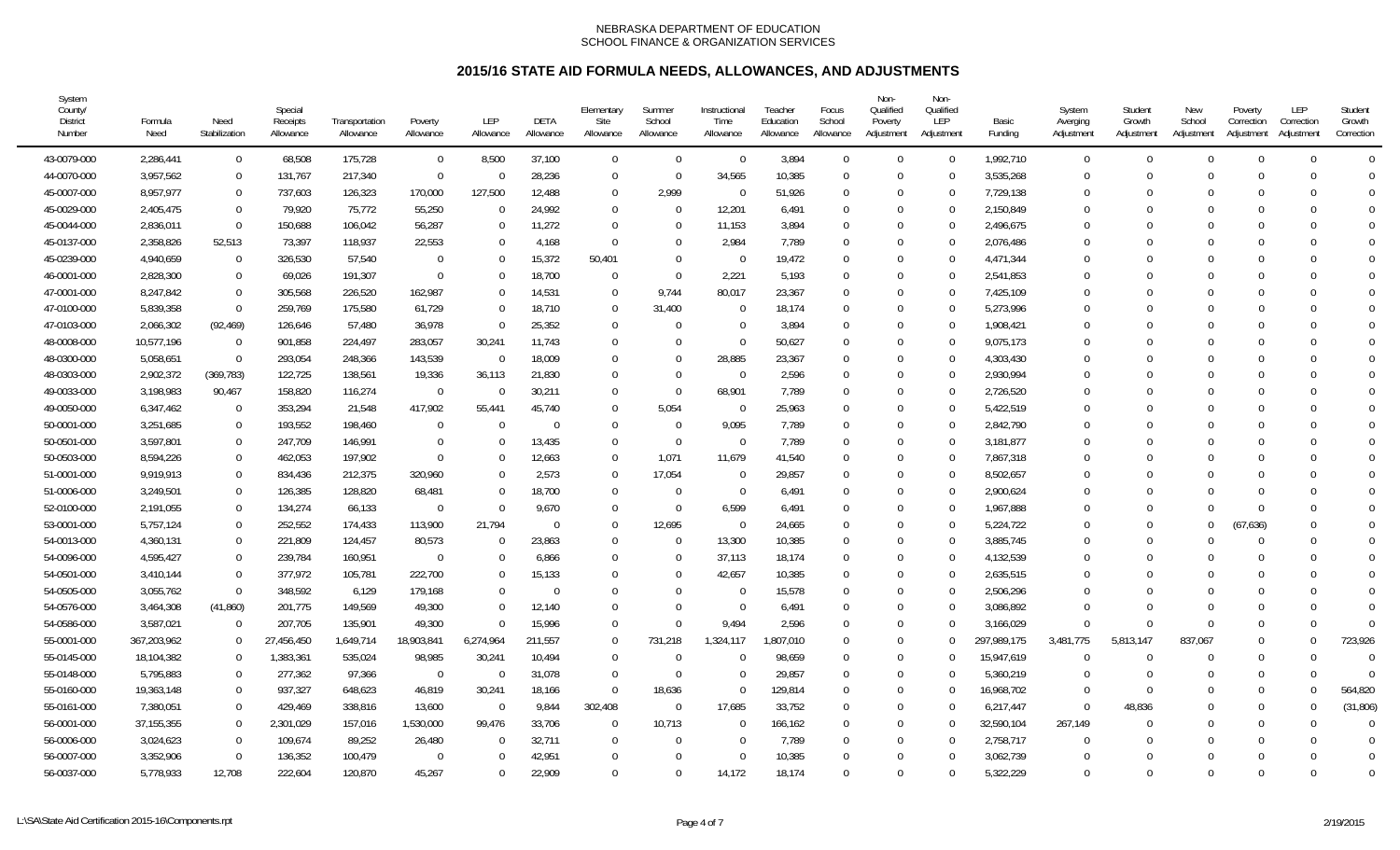| System<br>County/<br><b>District</b><br>Number | Formula<br>Need | Need<br>Stabilization | Special<br>Receipts<br>Allowance | Transportation<br>Allowance | Poverty<br>Allowance | LEP<br>Allowance | DETA<br>Allowance | Elementary<br>Site<br>Allowance | Summer<br>School<br>Allowance | Instructional<br>Time<br>Allowance | Teacher<br>Education<br>Allowance | Focus<br>School<br>Allowance | Non-<br>Qualified<br>Poverty<br>Adjustment | Non-<br>Qualified<br>LEP<br>Adjustment | Basic<br>Funding | System<br>Averging<br>Adjustment | Student<br>Growth<br>Adjustment | New<br>School<br>Adjustment | Poverty<br>Correction<br>Adjustment | LEP<br>Correction<br>Adjustment | Student<br>Growth<br>Correction |
|------------------------------------------------|-----------------|-----------------------|----------------------------------|-----------------------------|----------------------|------------------|-------------------|---------------------------------|-------------------------------|------------------------------------|-----------------------------------|------------------------------|--------------------------------------------|----------------------------------------|------------------|----------------------------------|---------------------------------|-----------------------------|-------------------------------------|---------------------------------|---------------------------------|
| 43-0079-000                                    | 2,286,441       | $\mathbf 0$           | 68,508                           | 175,728                     | $\mathbf 0$          | 8,500            | 37,100            | $\mathbf 0$                     | $\Omega$                      | $\overline{0}$                     | 3,894                             | $\Omega$                     | $\Omega$                                   | $\Omega$                               | 1,992,710        | $\mathbf 0$                      | $\cup$                          | $\Omega$                    | $\Omega$                            | $\Omega$                        | $\Omega$                        |
| 44-0070-000                                    | 3,957,562       | $\mathbf 0$           | 131,767                          | 217,340                     | $\overline{0}$       |                  | 28,236            | $\overline{0}$                  | $\Omega$                      | 34,565                             | 10,385                            | $\Omega$                     | $\Omega$                                   | $\Omega$                               | 3,535,268        | $\Omega$                         |                                 | ∩                           | $\Omega$                            |                                 | $\Omega$                        |
| 45-0007-000                                    | 8,957,977       | $\mathbf 0$           | 737,603                          | 126,323                     | 170,000              | 127,500          | 12,488            | $\overline{0}$                  | 2,999                         | $\overline{0}$                     | 51,926                            | $\Omega$                     | $\Omega$                                   |                                        | 7,729,138        | $\Omega$                         |                                 | <sup>0</sup>                | $\Omega$                            |                                 | $\Omega$                        |
| 45-0029-000                                    | 2,405,475       | $\mathbf 0$           | 79,920                           | 75,772                      | 55,250               | $\Omega$         | 24,992            | $\mathbf 0$                     | - 0                           | 12,201                             | 6,491                             | $\Omega$                     | $\Omega$                                   | $\Omega$                               | 2,150,849        | $\Omega$                         |                                 | $\Omega$                    | $\Omega$                            | $\Omega$                        | $\Omega$                        |
| 45-0044-000                                    | 2,836,011       | $\Omega$              | 150,688                          | 106,042                     | 56,287               |                  | 11,272            | $\Omega$                        | $\Omega$                      | 11,153                             | 3,894                             | $\Omega$                     | $\Omega$                                   | $\Omega$                               | 2,496,675        | $\Omega$                         |                                 | C                           | $\Omega$                            |                                 | $\overline{0}$                  |
| 45-0137-000                                    | 2,358,826       | 52,513                | 73,397                           | 118,937                     | 22,553               |                  | 4,168             | $\Omega$                        | $\Omega$                      | 2,984                              | 7,789                             | $\Omega$                     | $\Omega$                                   |                                        | 2,076,486        | $\Omega$                         |                                 | C                           | $\Omega$                            |                                 | $\Omega$                        |
| 45-0239-000                                    | 4,940,659       | $\overline{0}$        | 326,530                          | 57,540                      | $\Omega$             |                  | 15,372            | 50,401                          | $\Omega$                      | $\Omega$                           | 19,472                            | $\Omega$                     | $\Omega$                                   | $\Omega$                               | 4,471,344        | $\Omega$                         |                                 | $\Omega$                    | $\Omega$                            |                                 | $\Omega$                        |
| 46-0001-000                                    | 2,828,300       | $\overline{0}$        | 69,026                           | 191,307                     | $\Omega$             |                  | 18,700            | $\overline{0}$                  | $\Omega$                      | 2,221                              | 5,193                             | $\Omega$                     | $\Omega$                                   |                                        | 2,541,853        | 0                                |                                 |                             | $\Omega$                            |                                 | $\Omega$                        |
| 47-0001-000                                    | 8,247,842       | $\Omega$              | 305,568                          | 226,520                     | 162,987              |                  | 14,531            | $\overline{0}$                  | 9,744                         | 80,017                             | 23,367                            | $\Omega$                     | $\Omega$                                   | $\Omega$                               | 7,425,109        | $\Omega$                         |                                 | C                           | $\Omega$                            |                                 | $\Omega$                        |
| 47-0100-000                                    | 5,839,358       | $\Omega$              | 259,769                          | 175,580                     | 61,729               |                  | 18,710            | $\Omega$                        | 31,400                        | $\Omega$                           | 18,174                            | $\Omega$                     | $\Omega$                                   | 0                                      | 5,273,996        | $\Omega$                         |                                 |                             | $\Omega$                            |                                 | $\Omega$                        |
| 47-0103-000                                    | 2,066,302       | (92, 469)             | 126,646                          | 57,480                      | 36,978               |                  | 25,352            | $\overline{0}$                  | $\Omega$                      | $\Omega$                           | 3,894                             | $\Omega$                     | $\Omega$                                   | $\Omega$                               | 1,908,421        | $\Omega$                         |                                 | <sup>0</sup>                | $\Omega$                            |                                 | $\Omega$                        |
| 48-0008-000                                    | 10,577,196      | $\Omega$              | 901,858                          | 224,497                     | 283,057              | 30,241           | 11,743            | 0                               | $\Omega$                      | $\overline{0}$                     | 50,627                            | $\Omega$                     | $\Omega$                                   | 0                                      | 9,075,173        | $\Omega$                         |                                 | $\Omega$                    | $\Omega$                            |                                 | $\Omega$                        |
| 48-0300-000                                    | 5,058,651       | $\overline{0}$        | 293,054                          | 248,366                     | 143,539              | $\Omega$         | 18,009            | 0                               | $\Omega$                      | 28,885                             | 23,367                            | $\Omega$                     | $\Omega$                                   | 0                                      | 4,303,430        | 0                                |                                 | C                           | $\Omega$                            |                                 | $\Omega$                        |
| 48-0303-000                                    | 2,902,372       | (369, 783)            | 122,725                          | 138,561                     | 19,336               | 36,113           | 21,830            | $\Omega$                        | $\Omega$                      | $\Omega$                           | 2,596                             | $\Omega$                     | $\Omega$                                   | $\Omega$                               | 2,930,994        | $\Omega$                         |                                 |                             | $\Omega$                            |                                 | $\Omega$                        |
| 49-0033-000                                    | 3,198,983       | 90,467                | 158,820                          | 116,274                     | $\Omega$             |                  | 30,211            | $\Omega$                        | $\Omega$                      | 68,901                             | 7,789                             | $\Omega$                     | $\Omega$                                   | 0                                      | 2,726,520        | 0                                |                                 |                             | $\Omega$                            |                                 | $\Omega$                        |
| 49-0050-000                                    | 6,347,462       | $\Omega$              | 353,294                          | 21,548                      | 417,902              | 55,441           | 45,740            | $\Omega$                        | 5,054                         | $\Omega$                           | 25,963                            | $\Omega$                     | $\Omega$                                   |                                        | 5,422,519        | 0                                |                                 |                             | $\Omega$                            |                                 | $\Omega$                        |
| 50-0001-000                                    | 3,251,685       | $\mathbf{0}$          | 193,552                          | 198,460                     | $\mathbf 0$          |                  | $\Omega$          | $\mathbf 0$                     | - 0                           | 9,095                              | 7,789                             | $\Omega$                     | $\cup$                                     |                                        | 2,842,790        | $\Omega$                         |                                 | $\Omega$                    | $\Omega$                            |                                 | $\Omega$                        |
| 50-0501-000                                    | 3,597,801       | $\mathbf 0$           | 247,709                          | 146,991                     | $\Omega$             |                  | 13,435            | $\Omega$                        | - 0                           | $\Omega$                           | 7,789                             | $\Omega$                     | $\Omega$                                   | 0                                      | 3,181,877        | 0                                |                                 | <sup>0</sup>                | $\cup$                              |                                 | $\Omega$                        |
| 50-0503-000                                    | 8,594,226       | $\Omega$              | 462,053                          | 197,902                     | $\Omega$             | U                | 12,663            | $\Omega$                        | 1.071                         | 11,679                             | 41,540                            | $\Omega$                     | $\Omega$                                   | $\Omega$                               | 7,867,318        | $\Omega$                         |                                 |                             | $\Omega$                            |                                 | $\Omega$                        |
| 51-0001-000                                    | 9,919,913       | $\Omega$              | 834,436                          | 212,375                     | 320,960              |                  | 2,573             | $\Omega$                        | 17,054                        | $\Omega$                           | 29,857                            | $\Omega$                     | $\Omega$                                   | $\Omega$                               | 8,502,657        | 0                                |                                 |                             | $\Omega$                            |                                 | $\Omega$                        |
| 51-0006-000                                    | 3,249,501       | $\Omega$              | 126,385                          | 128,820                     | 68,481               |                  | 18,700            | $\Omega$                        | $\Omega$                      | $\Omega$                           | 6,491                             | $\Omega$                     | $\Omega$                                   |                                        | 2,900,624        | 0                                |                                 |                             | $\Omega$                            |                                 | $\Omega$                        |
| 52-0100-000                                    | 2,191,055       | $\mathbf 0$           | 134,274                          | 66,133                      | $\mathbf 0$          |                  | 9,670             | $\overline{0}$                  | - 0                           | 6,599                              | 6,491                             | $\Omega$                     | $\Omega$                                   | $\Omega$                               | 1,967,888        | 0                                |                                 | ∩                           | $\Omega$                            |                                 | $\Omega$                        |
| 53-0001-000                                    | 5,757,124       | $\overline{0}$        | 252,552                          | 174,433                     | 113,900              | 21,794           | $\Omega$          | $\overline{0}$                  | 12,695                        | $\overline{0}$                     | 24,665                            | $\Omega$                     | $\Omega$                                   | ∩                                      | 5,224,722        | 0                                |                                 | <sup>0</sup>                | (67, 636)                           |                                 | $\Omega$                        |
| 54-0013-000                                    | 4,360,131       | $\overline{0}$        | 221,809                          | 124,457                     | 80,573               | $\Omega$         | 23,863            | $\Omega$                        | $\Omega$                      | 13,300                             | 10,385                            | $\Omega$                     | $\Omega$                                   | $\Omega$                               | 3,885,745        | $\Omega$                         |                                 | $\Omega$                    | $\Omega$                            | U                               | $\Omega$                        |
| 54-0096-000                                    | 4.595.427       | $\Omega$              | 239,784                          | 160,951                     | $\Omega$             |                  | 6,866             | $\Omega$                        | $\Omega$                      | 37,113                             | 18,174                            | $\Omega$                     | $\Omega$                                   | $\Omega$                               | 4,132,539        | $\Omega$                         |                                 | ſ                           | $\Omega$                            |                                 | $\Omega$                        |
| 54-0501-000                                    | 3,410,144       | $\Omega$              | 377,972                          | 105,781                     | 222,700              |                  | 15,133            | $\Omega$                        | $\Omega$                      | 42,657                             | 10,385                            | $\Omega$                     | $\Omega$                                   |                                        | 2,635,515        | $\Omega$                         |                                 |                             | $\Omega$                            |                                 | $\Omega$                        |
| 54-0505-000                                    | 3,055,762       | $\Omega$              | 348,592                          | 6,129                       | 179,168              |                  | $\Omega$          | $\Omega$                        | $\Omega$                      | $\Omega$                           | 15,578                            | $\Omega$                     | $\Omega$                                   |                                        | 2,506,296        | $\Omega$                         |                                 | ∩                           | $\Omega$                            |                                 | $\Omega$                        |
| 54-0576-000                                    | 3,464,308       | (41, 860)             | 201,775                          | 149,569                     | 49,300               |                  | 12,140            | $\Omega$                        | $\Omega$                      | $\Omega$                           | 6,491                             | $\Omega$                     | $\Omega$                                   | $\Omega$                               | 3,086,892        | $\Omega$                         |                                 | $\Omega$                    | $\Omega$                            |                                 | $\Omega$                        |
| 54-0586-000                                    | 3,587,021       | $\Omega$              | 207,705                          | 135,901                     | 49,300               | $\Omega$         | 15,996            | $\Omega$                        | $\Omega$                      | 9,494                              | 2,596                             | $\Omega$                     | $\Omega$                                   | $\Omega$                               | 3,166,029        | $\Omega$                         |                                 | $\Omega$                    | $\Omega$                            | $\Omega$                        | $\Omega$                        |
| 55-0001-000                                    | 367,203,962     | $\Omega$              | 27,456,450                       | 1,649,714                   | 18,903,841           | 6,274,964        | 211,557           | $\Omega$                        | 731,218                       | 1,324,117                          | ,807,010                          | $\Omega$                     | $\Omega$                                   |                                        | 297,989,175      | 3,481,775                        | 5,813,147                       | 837,067                     | $\Omega$                            |                                 | 723,926                         |
| 55-0145-000                                    | 18,104,382      | $\Omega$              | 1,383,361                        | 535,024                     | 98,985               | 30,241           | 10,494            | $\Omega$                        | - 0                           | $\Omega$                           | 98,659                            | $\Omega$                     | $\Omega$                                   | $\Omega$                               | 15,947,619       | $\Omega$                         |                                 | <sup>0</sup>                | $\Omega$                            |                                 | $\Omega$                        |
| 55-0148-000                                    | 5,795,883       | $\mathbf 0$           | 277,362                          | 97,366                      | $\overline{0}$       |                  | 31,078            | $\Omega$                        | - 0                           | $\Omega$                           | 29,857                            | $\Omega$                     | $\Omega$                                   | 0                                      | 5,360,219        | $\Omega$                         |                                 | <sup>0</sup>                | $\Omega$                            |                                 | $\Omega$                        |
| 55-0160-000                                    | 19,363,148      | $\mathbf 0$           | 937,327                          | 648,623                     | 46,819               | 30,241           | 18,166            | $\overline{0}$                  | 18,636                        | $\overline{0}$                     | 129,814                           | $\Omega$                     | $\Omega$                                   | 0                                      | 16,968,702       | $\Omega$                         |                                 | <sup>0</sup>                | $\Omega$                            |                                 | 564,820                         |
| 55-0161-000                                    | 7,380,051       | $\Omega$              | 429,469                          | 338,816                     | 13,600               | $\Omega$         | 9,844             | 302,408                         | $\overline{0}$                | 17,685                             | 33,752                            | $\Omega$                     | $\Omega$                                   | $\Omega$                               | 6,217,447        | $\Omega$                         | 48,836                          | $\Omega$                    | $\Omega$                            | $\Omega$                        | (31, 806)                       |
| 56-0001-000                                    | 37, 155, 355    | $\Omega$              | 2,301,029                        | 157,016                     | 1,530,000            | 99,476           | 33,706            | $\mathbf 0$                     | 10,713                        | $\Omega$                           | 166,162                           | $\Omega$                     | $\Omega$                                   | $\Omega$                               | 32,590,104       | 267,149                          |                                 | ∩                           | $\Omega$                            | $\Omega$                        | $\Omega$                        |
| 56-0006-000                                    | 3,024,623       | $\Omega$              | 109,674                          | 89,252                      | 26,480               |                  | 32,711            | $\overline{0}$                  | $\Omega$                      | $\Omega$                           | 7,789                             | $\Omega$                     | $\Omega$                                   | $\Omega$                               | 2,758,717        | $\Omega$                         |                                 | ∩                           | $\Omega$                            |                                 | $\Omega$                        |
| 56-0007-000                                    | 3,352,906       | $\Omega$              | 136,352                          | 100,479                     | $\mathbf 0$          |                  | 42,951            | $\overline{0}$                  | $\Omega$                      | $\Omega$                           | 10,385                            | $\Omega$                     | $\Omega$                                   |                                        | 3,062,739        | $\Omega$                         |                                 | ſ                           | $\Omega$                            |                                 | $\overline{0}$                  |
| 56-0037-000                                    | 5,778,933       | 12,708                | 222,604                          | 120,870                     | 45,267               | $\Omega$         | 22,909            | $\Omega$                        | $\Omega$                      | 14,172                             | 18,174                            | $\cup$                       | $\Omega$                                   | $\Omega$                               | 5,322,229        | $\Omega$                         | $\cup$                          | $\Omega$                    | $\Omega$                            | U                               | $\Omega$                        |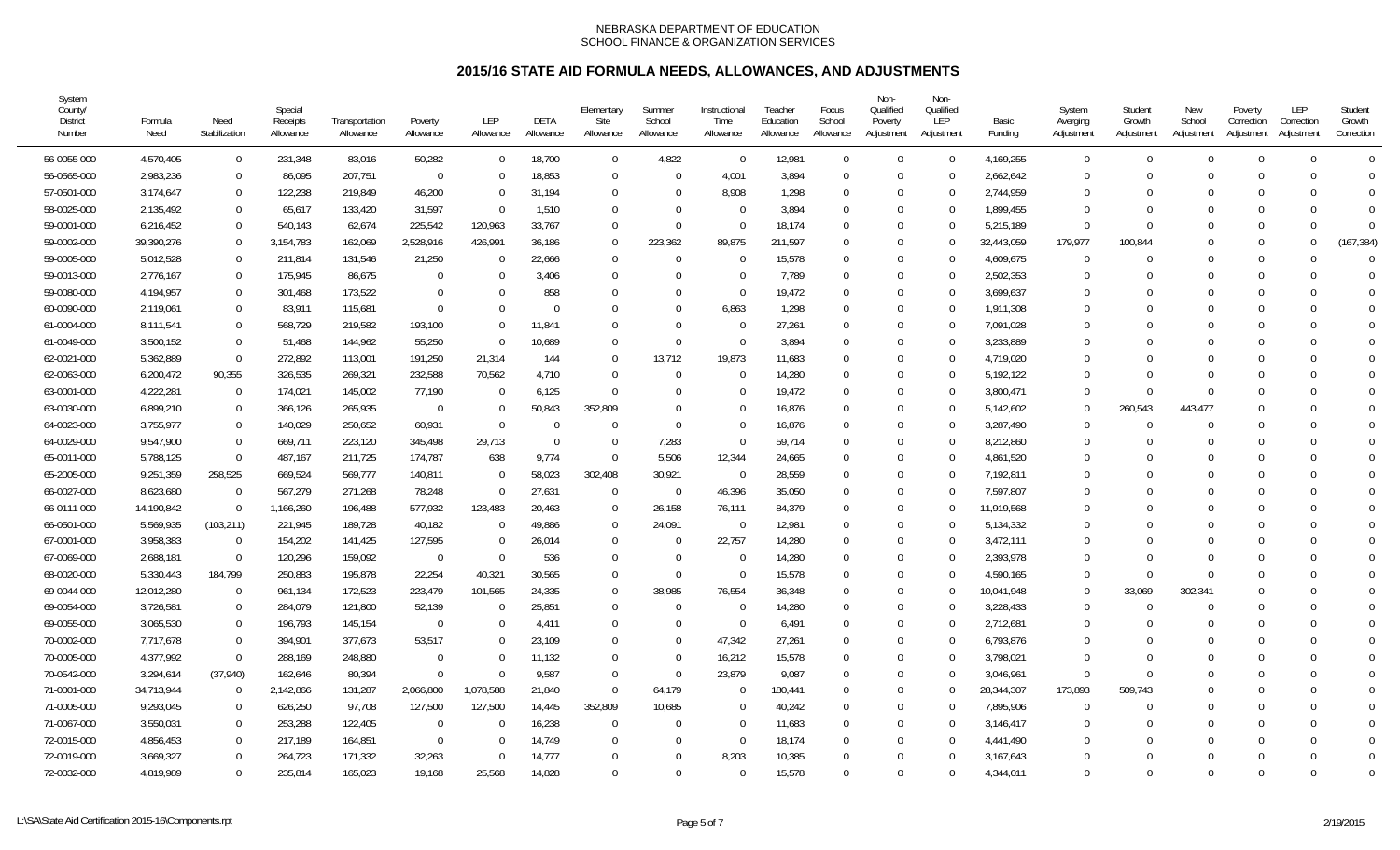| System<br>County/<br><b>District</b><br>Number | Formula<br>Need | Need<br>Stabilization | Special<br>Receipts<br>Allowance | Transportation<br>Allowance | Poverty<br>Allowance | LEP<br>Allowance | DETA<br>Allowance | Elementary<br>Site<br>Allowance | Summer<br>School<br>Allowance | Instructional<br>Time<br>Allowance | Teacher<br>Education<br>Allowance | Focus<br>School<br>Allowance | Non-<br>Qualified<br>Poverty<br>Adjustment | Non-<br>Qualified<br>LEP<br>Adjustment | Basic<br>Funding | System<br>Averging<br>Adjustment | Student<br>Growth<br>Adjustment | New<br>School<br>Adjustment | Poverty<br>Correction<br>Adjustment | LEP<br>Correction<br>Adjustment | Student<br>Growth<br>Correction |
|------------------------------------------------|-----------------|-----------------------|----------------------------------|-----------------------------|----------------------|------------------|-------------------|---------------------------------|-------------------------------|------------------------------------|-----------------------------------|------------------------------|--------------------------------------------|----------------------------------------|------------------|----------------------------------|---------------------------------|-----------------------------|-------------------------------------|---------------------------------|---------------------------------|
| 56-0055-000                                    | 4,570,405       | $\overline{0}$        | 231,348                          | 83,016                      | 50,282               | $\Omega$         | 18,700            | $\mathbf 0$                     | 4,822                         | $\Omega$                           | 12,981                            | $\Omega$                     | $\Omega$                                   | $\Omega$                               | 4,169,255        | $\overline{0}$                   | $\Omega$                        | $\Omega$                    | $\Omega$                            | U                               | $\Omega$                        |
| 56-0565-000                                    | 2,983,236       | $\overline{0}$        | 86,095                           | 207,751                     | $\mathbf 0$          | $\Omega$         | 18,853            | $\mathbf 0$                     | $\sqrt{ }$                    | 4,001                              | 3,894                             | $\Omega$                     | $\Omega$                                   |                                        | 2,662,642        | 0                                |                                 | $\Gamma$                    |                                     |                                 | $\Omega$                        |
| 57-0501-000                                    | 3,174,647       | $\mathbf{0}$          | 122,238                          | 219,849                     | 46,200               | $\Omega$         | 31,194            | $\mathbf 0$                     | $\sqrt{ }$                    | 8,908                              | 1,298                             | $\Omega$                     | $\Omega$                                   |                                        | 2,744,959        | $\Omega$                         |                                 |                             |                                     |                                 | $\Omega$                        |
| 58-0025-000                                    | 2,135,492       | $\Omega$              | 65,617                           | 133,420                     | 31,597               | $\Omega$         | 1,510             | $\Omega$                        | $\Omega$                      | $\Omega$                           | 3,894                             | $\Omega$                     | $\Omega$                                   | $\Omega$                               | 1,899,455        | $\Omega$                         |                                 | - C                         | $\Omega$                            | U                               | $\Omega$                        |
| 59-0001-000                                    | 6,216,452       | $\Omega$              | 540,143                          | 62,674                      | 225,542              | 120,963          | 33,767            | $\Omega$                        | $\Omega$                      | $\Omega$                           | 18,174                            | $\Omega$                     | $\Omega$                                   |                                        | 5,215,189        | $\Omega$                         |                                 |                             | $\Omega$                            | U                               | $\Omega$                        |
| 59-0002-000                                    | 39,390,276      | $\overline{0}$        | 3,154,783                        | 162,069                     | 2,528,916            | 426,991          | 36,186            | $\Omega$                        | 223,362                       | 89,875                             | 211,597                           | $\Omega$                     | $\Omega$                                   |                                        | 32,443,059       | 179,977                          | 100,844                         |                             | $\Omega$                            |                                 | (167, 384)                      |
| 59-0005-000                                    | 5,012,528       | $\overline{0}$        | 211,814                          | 131,546                     | 21,250               | $\Omega$         | 22,666            | $\mathbf 0$                     | $\Omega$                      | $\Omega$                           | 15,578                            | $\Omega$                     | $\Omega$                                   |                                        | 4,609,675        | $\overline{0}$                   |                                 | $\Omega$                    | $\Omega$                            |                                 | $\Omega$                        |
| 59-0013-000                                    | 2,776,167       | $\overline{0}$        | 175,945                          | 86,675                      | $\mathbf 0$          | $\Omega$         | 3,406             | $\mathbf 0$                     | $\Omega$                      | $\Omega$                           | 7,789                             | $\Omega$                     | $\Omega$                                   |                                        | 2,502,353        | $\Omega$                         |                                 |                             | $\Omega$                            |                                 | $\Omega$                        |
| 59-0080-000                                    | 4,194,957       | $\overline{0}$        | 301,468                          | 173,522                     | $\Omega$             | $\Omega$         | 858               | $\mathbf 0$                     | $\Omega$                      | $\Omega$                           | 19,472                            | $\Omega$                     | $\Omega$                                   | $\Omega$                               | 3,699,637        | $\Omega$                         |                                 |                             |                                     |                                 | $\Omega$                        |
| 60-0090-000                                    | 2,119,061       | $\Omega$              | 83,911                           | 115,681                     | $\Omega$             | $\Omega$         | $\Omega$          | $\Omega$                        | $\Omega$                      | 6,863                              | 1,298                             |                              | $\Omega$                                   |                                        | 1,911,308        | $\Omega$                         |                                 |                             |                                     |                                 | $\Omega$                        |
| 61-0004-000                                    | 8,111,541       | $\Omega$              | 568,729                          | 219,582                     | 193,100              | $\Omega$         | 11,841            | $\Omega$                        | $\Omega$                      | $\Omega$                           | 27,261                            | $\Omega$                     | $\Omega$                                   |                                        | 7,091,028        | $\Omega$                         |                                 |                             | $\Omega$                            |                                 |                                 |
| 61-0049-000                                    | 3,500,152       | $\mathbf{0}$          | 51,468                           | 144,962                     | 55,250               | $\Omega$         | 10,689            | $\Omega$                        | $\sqrt{ }$                    | $\Omega$                           | 3,894                             | $\Omega$                     | $\Omega$                                   |                                        | 3,233,889        | $\Omega$                         |                                 | $\Omega$                    |                                     |                                 |                                 |
| 62-0021-000                                    | 5,362,889       | $\overline{0}$        | 272,892                          | 113,001                     | 191,250              | 21,314           | 144               | $\mathbf 0$                     | 13,712                        | 19,873                             | 11,683                            | $\Omega$                     | $\Omega$                                   |                                        | 4,719,020        | $\Omega$                         |                                 |                             |                                     |                                 | $\Omega$                        |
| 62-0063-000                                    | 6,200,472       | 90,355                | 326,535                          | 269,321                     | 232,588              | 70,562           | 4,710             | $\mathbf{0}$                    | $\Omega$                      | $\Omega$                           | 14,280                            | $\Omega$                     | $\Omega$                                   |                                        | 5,192,122        | $\Omega$                         |                                 |                             |                                     |                                 | $\Omega$                        |
| 63-0001-000                                    | 4,222,281       | $\overline{0}$        | 174,021                          | 145,002                     | 77,190               | $\Omega$         | 6,125             | $\Omega$                        | $\Omega$                      |                                    | 19,472                            | $\Omega$                     | $\Omega$                                   | 0                                      | 3,800,471        | $\Omega$                         |                                 | $\Omega$                    |                                     |                                 | $\Omega$                        |
| 63-0030-000                                    | 6,899,210       | $\overline{0}$        | 366,126                          | 265,935                     | $\overline{0}$       | $\Omega$         | 50,843            | 352,809                         | $\Omega$                      | $\Omega$                           | 16,876                            | $\Omega$                     | $\Omega$                                   |                                        | 5,142,602        | $\Omega$                         | 260,543                         | 443,477                     |                                     |                                 |                                 |
| 64-0023-000                                    | 3,755,977       | $\overline{0}$        | 140,029                          | 250,652                     | 60,931               | $\Omega$         | $\Omega$          | $\Omega$                        | $\Omega$                      | $\Omega$                           | 16,876                            |                              | $\Omega$                                   |                                        | 3,287,490        | $\mathbf 0$                      |                                 | $\cap$                      |                                     |                                 |                                 |
| 64-0029-000                                    | 9,547,900       | $\mathbf{0}$          | 669,711                          | 223,120                     | 345,498              | 29,713           | $\overline{0}$    | $\mathbf 0$                     | 7,283                         | $\Omega$                           | 59,714                            |                              | $\Omega$                                   |                                        | 8,212,860        | $\Omega$                         |                                 |                             |                                     |                                 | $\Omega$                        |
| 65-0011-000                                    | 5,788,125       | $\Omega$              | 487,167                          | 211,725                     | 174,787              | 638              | 9,774             | $\Omega$                        | 5,506                         | 12,344                             | 24,665                            | $\Omega$                     | $\Omega$                                   | $\Omega$                               | 4,861,520        | $\Omega$                         |                                 |                             | $\cap$                              |                                 | $\Omega$                        |
| 65-2005-000                                    | 9,251,359       | 258,525               | 669,524                          | 569,777                     | 140,811              | $\Omega$         | 58,023            | 302,408                         | 30,921                        | $\Omega$                           | 28,559                            | $\Omega$                     | $\Omega$                                   |                                        | 7,192,811        | $\Omega$                         |                                 |                             |                                     |                                 | $\Omega$                        |
| 66-0027-000                                    | 8,623,680       | $\Omega$              | 567,279                          | 271,268                     | 78,248               | $\Omega$         | 27,631            | $\mathbf{0}$                    | $\mathbf{C}$                  | 46,396                             | 35,050                            | $\Omega$                     | $\Omega$                                   |                                        | 7,597,807        | $\Omega$                         |                                 |                             |                                     |                                 |                                 |
| 66-0111-000                                    | 14,190,842      | $\overline{0}$        | 1,166,260                        | 196,488                     | 577,932              | 123,483          | 20,463            | $\mathbf 0$                     | 26,158                        | 76,111                             | 84,379                            | $\Omega$                     | $\Omega$                                   |                                        | 11,919,568       | $\mathbf 0$                      |                                 | $\lceil$                    |                                     |                                 |                                 |
| 66-0501-000                                    | 5,569,935       | (103, 211)            | 221,945                          | 189,728                     | 40,182               | $\Omega$         | 49,886            | $\mathbf 0$                     | 24,091                        | $\overline{0}$                     | 12,981                            | $\Omega$                     | $\Omega$                                   |                                        | 5,134,332        | $\Omega$                         |                                 |                             |                                     |                                 |                                 |
| 67-0001-000                                    | 3,958,383       | $\overline{0}$        | 154,202                          | 141,425                     | 127,595              | $\Omega$         | 26,014            | $\mathbf 0$                     | $\Omega$                      | 22,757                             | 14,280                            | $\Omega$                     | $\Omega$                                   | $\Omega$                               | 3,472,111        | $\Omega$                         |                                 |                             |                                     |                                 | $\Omega$                        |
| 67-0069-000                                    | 2,688,181       | $\overline{0}$        | 120,296                          | 159,092                     | $\Omega$             | $\Omega$         | 536               | $\Omega$                        | $\Omega$                      | $\Omega$                           | 14,280                            | $\Omega$                     | $\Omega$                                   |                                        | 2,393,978        | $\Omega$                         |                                 |                             | $\Omega$                            |                                 | $\Omega$                        |
| 68-0020-000                                    | 5,330,443       | 184,799               | 250,883                          | 195,878                     | 22,254               | 40,321           | 30,565            | $\Omega$                        | $\Omega$                      | $\Omega$                           | 15,578                            | $\Omega$                     | $\Omega$                                   |                                        | 4,590,165        | $\Omega$                         | $\Omega$                        | $\Omega$                    | $\Omega$                            |                                 |                                 |
| 69-0044-000                                    | 12,012,280      | $\overline{0}$        | 961,134                          | 172,523                     | 223,479              | 101,565          | 24,335            | $\mathbf 0$                     | 38,985                        | 76,554                             | 36,348                            | $\Omega$                     | $\Omega$                                   |                                        | 10,041,948       | $\mathbf 0$                      | 33,069                          | 302,341                     |                                     |                                 |                                 |
| 69-0054-000                                    | 3,726,581       | $\overline{0}$        | 284,079                          | 121,800                     | 52,139               | $\Omega$         | 25,851            | $\mathbf 0$                     | $\Omega$                      | $\Omega$                           | 14,280                            |                              | $\Omega$                                   |                                        | 3,228,433        | $\Omega$                         |                                 | $\Omega$                    |                                     |                                 | $\Omega$                        |
| 69-0055-000                                    | 3,065,530       | $\Omega$              | 196,793                          | 145,154                     | $\Omega$             | $\Omega$         | 4,411             | $\Omega$                        | $\Omega$                      | $\Omega$                           | 6,491                             | $\Omega$                     | $\Omega$                                   |                                        | 2,712,681        | $\Omega$                         |                                 |                             | $\Omega$                            |                                 | $\Omega$                        |
| 70-0002-000                                    | 7,717,678       | $\overline{0}$        | 394,901                          | 377,673                     | 53,517               | $\Omega$         | 23,109            | $\Omega$                        | $\sqrt{ }$                    | 47,342                             | 27,261                            | $\Omega$                     | $\Omega$                                   |                                        | 6,793,876        | $\Omega$                         |                                 |                             |                                     |                                 | $\Omega$                        |
| 70-0005-000                                    | 4,377,992       | $\Omega$              | 288,169                          | 248,880                     | $\Omega$             | $\Omega$         | 11,132            | $\Omega$                        | $\sqrt{ }$                    | 16,212                             | 15,578                            | $\Omega$                     | $\Omega$                                   |                                        | 3,798,021        | $\Omega$                         |                                 |                             |                                     |                                 |                                 |
| 70-0542-000                                    | 3,294,614       | (37, 940)             | 162,646                          | 80,394                      | $\Omega$             | $\Omega$         | 9,587             | $\mathbf 0$                     | $\Omega$                      | 23,879                             | 9,087                             | $\Omega$                     | $\Omega$                                   |                                        | 3,046,961        | $\Omega$                         |                                 | n                           |                                     |                                 |                                 |
| 71-0001-000                                    | 34,713,944      | $\overline{0}$        | 2,142,866                        | 131,287                     | 2,066,800            | 1,078,588        | 21,840            | $\Omega$                        | 64,179                        | -0                                 | 180,441                           | $\Omega$                     | $\Omega$                                   |                                        | 28,344,307       | 173,893                          | 509,743                         |                             |                                     |                                 | $\Omega$                        |
| 71-0005-000                                    | 9,293,045       | $\Omega$              | 626,250                          | 97,708                      | 127,500              | 127,500          | 14,445            | 352,809                         | 10,685                        | $\Omega$                           | 40,242                            | $\Omega$                     | $\Omega$                                   |                                        | 7,895,906        | $\Omega$                         |                                 |                             | $\Omega$                            |                                 | $\Omega$                        |
| 71-0067-000                                    | 3,550,031       | $\mathbf{0}$          | 253,288                          | 122,405                     | $\Omega$             | $\Omega$         | 16,238            | $\mathbf 0$                     | $\sqrt{ }$                    | $\Omega$                           | 11,683                            | $\Omega$                     | $\Omega$                                   |                                        | 3,146,417        | $\Omega$                         |                                 |                             |                                     |                                 | $\Omega$                        |
| 72-0015-000                                    | 4,856,453       | $\Omega$              | 217,189                          | 164,851                     | $\Omega$             | $\sqrt{ }$       | 14,749            | $\Omega$                        | $\Omega$                      | $\Omega$                           | 18,174                            |                              | $\Omega$                                   |                                        | 4,441,490        | $\Omega$                         |                                 |                             |                                     |                                 |                                 |
| 72-0019-000                                    | 3,669,327       | $\mathbf{0}$          | 264,723                          | 171,332                     | 32,263               | $\Omega$         | 14,777            | $\Omega$                        | $\Omega$                      | 8,203                              | 10,385                            |                              | $\Omega$                                   |                                        | 3,167,643        | $\Omega$                         |                                 |                             |                                     |                                 | $\Omega$                        |
| 72-0032-000                                    | 4,819,989       | $\Omega$              | 235,814                          | 165,023                     | 19,168               | 25,568           | 14,828            | $\Omega$                        | $\Omega$                      | $\Omega$                           | 15,578                            | $\Omega$                     | $\Omega$                                   | $\Omega$                               | 4,344,011        | $\Omega$                         | $\cap$                          | $\Omega$                    | $\Omega$                            | $\Omega$                        | $\Omega$                        |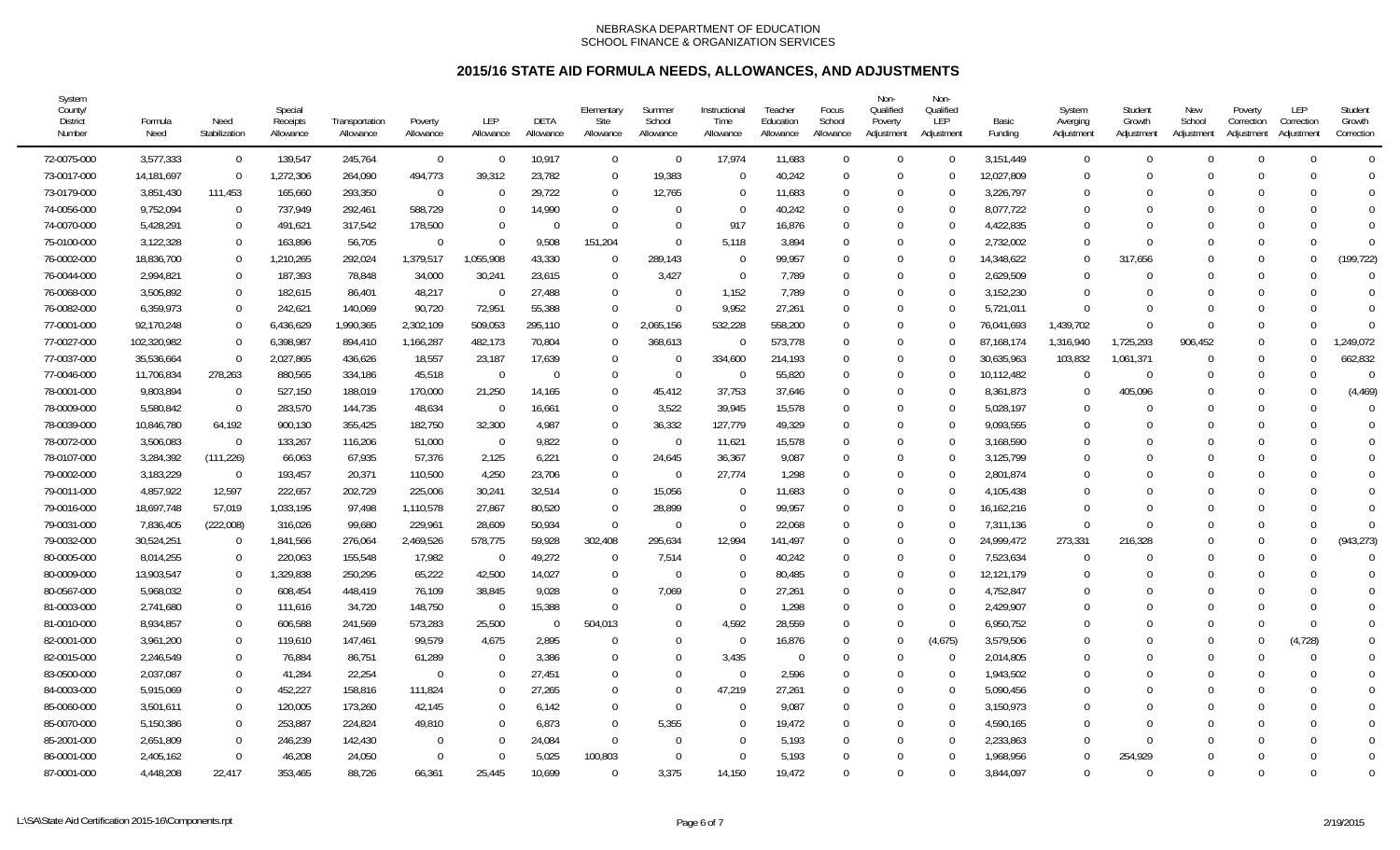| System<br>County/<br><b>District</b><br>Number | Formula<br>Need | Need<br>Stabilization | Special<br>Receipts<br>Allowance | Transportation<br>Allowance | Poverty<br>Allowance | <b>LEP</b><br>Allowance | DETA<br>Allowance | Elementary<br>Site<br>Allowance | Summer<br>School<br>Allowance | Instructional<br>Time<br>Allowance | Teacher<br>Education<br>Allowance | Focus<br>School<br>Allowance | Non-<br>Qualified<br>Poverty<br>Adjustment | Non-<br>Qualified<br>LEP<br>Adjustment | Basic<br>Funding | System<br>Averging<br>Adjustment | Student<br>Growth<br>Adjustment | New<br>School<br>Adjustment | Poverty<br>Correction<br>Adjustment | LEP<br>Correction<br>Adjustment | Student<br>Growth<br>Correction |
|------------------------------------------------|-----------------|-----------------------|----------------------------------|-----------------------------|----------------------|-------------------------|-------------------|---------------------------------|-------------------------------|------------------------------------|-----------------------------------|------------------------------|--------------------------------------------|----------------------------------------|------------------|----------------------------------|---------------------------------|-----------------------------|-------------------------------------|---------------------------------|---------------------------------|
| 72-0075-000                                    | 3,577,333       | $\overline{0}$        | 139,547                          | 245,764                     | $\overline{0}$       | $\Omega$                | 10,917            | $\overline{0}$                  | $\overline{0}$                | 17,974                             | 11,683                            | $\Omega$                     | $\Omega$                                   | $\Omega$                               | 3,151,449        | $\overline{0}$                   | $\Omega$                        | $\Omega$                    | $\Omega$                            |                                 | $\Omega$                        |
| 73-0017-000                                    | 14,181,697      | $\Omega$              | 1,272,306                        | 264,090                     | 494,773              | 39,312                  | 23,782            | $\overline{0}$                  | 19,383                        | $\Omega$                           | 40,242                            | $\Omega$                     | $\Omega$                                   | $\Omega$                               | 12,027,809       | $\Omega$                         |                                 | $\Omega$                    | $\Omega$                            |                                 | $\Omega$                        |
| 73-0179-000                                    | 3,851,430       | 111,453               | 165,660                          | 293,350                     | $\mathbf{0}$         |                         | 29,722            | $\overline{0}$                  | 12,765                        | $\Omega$                           | 11,683                            | $\Omega$                     | $\Omega$                                   | $\Omega$                               | 3,226,797        | 0                                |                                 | -0                          |                                     |                                 | $\Omega$                        |
| 74-0056-000                                    | 9,752,094       | $\Omega$              | 737,949                          | 292,461                     | 588,729              |                         | 14,990            | $\Omega$                        | $\Omega$                      | $\Omega$                           | 40,242                            | $\Omega$                     | $\Omega$                                   | $\Omega$                               | 8,077,722        | $\Omega$                         |                                 |                             | $\Omega$                            |                                 | $\Omega$                        |
| 74-0070-000                                    | 5,428,291       | $\Omega$              | 491,621                          | 317,542                     | 178,500              |                         | $\Omega$          | $\Omega$                        | $\Omega$                      | 917                                | 16,876                            | $\Omega$                     | $\Omega$                                   | $\Omega$                               | 4,422,835        | $\Omega$                         |                                 |                             |                                     |                                 | $\Omega$                        |
| 75-0100-000                                    | 3,122,328       | $\Omega$              | 163,896                          | 56,705                      | $\Omega$             |                         | 9,508             | 151,204                         | $\Omega$                      | 5,118                              | 3,894                             | $\Omega$                     | $\Omega$                                   |                                        | 2,732,002        | $\Omega$                         |                                 |                             | $\Omega$                            |                                 | $\Omega$                        |
| 76-0002-000                                    | 18,836,700      | $\Omega$              | 1,210,265                        | 292,024                     | 1,379,517            | 1,055,908               | 43,330            | $\Omega$                        | 289,143                       | $\Omega$                           | 99,957                            | $\Omega$                     | $\Omega$                                   |                                        | 14,348,622       | $\Omega$                         | 317,656                         |                             | $\Omega$                            |                                 | (199, 722)                      |
| 76-0044-000                                    | 2,994,821       | $\Omega$              | 187,393                          | 78,848                      | 34,000               | 30,241                  | 23,615            | $\overline{0}$                  | 3,427                         | $\Omega$                           | 7,789                             | $\Omega$                     | $\Omega$                                   | ∩                                      | 2,629,509        | $\Omega$                         |                                 | $\Omega$                    | $\Omega$                            |                                 | $\Omega$                        |
| 76-0068-000                                    | 3,505,892       | $\Omega$              | 182,615                          | 86,401                      | 48,217               | $\Omega$                | 27,488            | $\Omega$                        | - 0                           | 1,152                              | 7.789                             | $\Omega$                     | $\Omega$                                   | $\Omega$                               | 3,152,230        | $\Omega$                         |                                 | $\Omega$                    | $\Omega$                            |                                 | $\Omega$                        |
| 76-0082-000                                    | 6,359,973       | $\Omega$              | 242.621                          | 140,069                     | 90,720               | 72.951                  | 55,388            | $\overline{0}$                  | - 0                           | 9.952                              | 27,261                            | $\Omega$                     | $\Omega$                                   | $\Omega$                               | 5,721,011        | $\Omega$                         |                                 | $\Omega$                    | $\Omega$                            |                                 | $\Omega$                        |
| 77-0001-000                                    | 92,170,248      | $\Omega$              | 6,436,629                        | 1,990,365                   | 2,302,109            | 509,053                 | 295,110           | $\Omega$                        | 2,065,156                     | 532,228                            | 558,200                           | $\Omega$                     | $\Omega$                                   |                                        | 76,041,693       | 1,439,702                        |                                 | $\Omega$                    | $\Omega$                            |                                 | $\Omega$                        |
| 77-0027-000                                    | 102,320,982     | $\Omega$              | 6,398,987                        | 894,410                     | 1,166,287            | 482,173                 | 70,804            | $\Omega$                        | 368,613                       | $\Omega$                           | 573,778                           | $\Omega$                     | $\Omega$                                   |                                        | 87,168,174       | 1,316,940                        | 1,725,293                       | 906,452                     | $\Omega$                            |                                 | ,249,072                        |
| 77-0037-000                                    | 35,536,664      | $\Omega$              | 2,027,865                        | 436,626                     | 18,557               | 23,187                  | 17,639            | $\Omega$                        | - 0                           | 334,600                            | 214,193                           | $\Omega$                     | $\Omega$                                   | ∩                                      | 30,635,963       | 103,832                          | 1,061,371                       | $\Omega$                    | $\Omega$                            |                                 | 662,832                         |
| 77-0046-000                                    | 11,706,834      | 278,263               | 880,565                          | 334,186                     | 45,518               | $\Omega$                | $\overline{0}$    | $\overline{0}$                  | $\overline{0}$                | $\overline{0}$                     | 55,820                            | $\Omega$                     | $\Omega$                                   | $\Omega$                               | 10,112,482       | $\Omega$                         | $\Omega$                        | $\Omega$                    | $\Omega$                            | $\Omega$                        | $\Omega$                        |
| 78-0001-000                                    | 9,803,894       | $\Omega$              | 527,150                          | 188,019                     | 170,000              | 21,250                  | 14,165            | $\mathbf 0$                     | 45,412                        | 37,753                             | 37,646                            | $\Omega$                     | $\Omega$                                   | $\Omega$                               | 8,361,873        | $\Omega$                         | 405,096                         |                             | $\Omega$                            |                                 | (4, 469)                        |
| 78-0009-000                                    | 5,580,842       | $\Omega$              | 283,570                          | 144,735                     | 48,634               |                         | 16,661            | $\overline{0}$                  | 3,522                         | 39,945                             | 15,578                            | $\Omega$                     | $\Omega$                                   |                                        | 5,028,197        | $\Omega$                         |                                 | $\Omega$                    | $\Omega$                            |                                 |                                 |
| 78-0039-000                                    | 10,846,780      | 64,192                | 900,130                          | 355,425                     | 182,750              | 32,300                  | 4,987             | $\mathbf 0$                     | 36,332                        | 127,779                            | 49,329                            | $\Omega$                     | $\Omega$                                   | $\Omega$                               | 9,093,555        | $\Omega$                         |                                 | $\Omega$                    | $\Omega$                            |                                 |                                 |
| 78-0072-000                                    | 3,506,083       | $\Omega$              | 133,267                          | 116,206                     | 51,000               | $\Omega$                | 9,822             | $\mathbf 0$                     | - 0                           | 11,621                             | 15,578                            | $\Omega$                     | $\Omega$                                   | $\Omega$                               | 3,168,590        | $\Omega$                         |                                 | $\Omega$                    |                                     |                                 | $\Omega$                        |
| 78-0107-000                                    | 3,284,392       | (111, 226)            | 66,063                           | 67,935                      | 57,376               | 2,125                   | 6,221             | $\overline{0}$                  | 24,645                        | 36,367                             | 9,087                             | $\Omega$                     | $\Omega$                                   | $\Omega$                               | 3,125,799        | $\Omega$                         |                                 |                             |                                     |                                 | $\Omega$                        |
| 79-0002-000                                    | 3,183,229       | $\Omega$              | 193,457                          | 20,371                      | 110,500              | 4,250                   | 23,706            | $\mathbf 0$                     | - 0                           | 27,774                             | 1,298                             | $\Omega$                     | $\Omega$                                   | $\Omega$                               | 2,801,874        | $\theta$                         |                                 |                             |                                     |                                 | $\Omega$                        |
| 79-0011-000                                    | 4,857,922       | 12,597                | 222,657                          | 202,729                     | 225,006              | 30,241                  | 32,514            | $\mathbf 0$                     | 15,056                        | $\Omega$                           | 11,683                            | $\Omega$                     | $\Omega$                                   |                                        | 4,105,438        | $\Omega$                         |                                 |                             | $\Omega$                            |                                 |                                 |
| 79-0016-000                                    | 18,697,748      | 57,019                | 1,033,195                        | 97,498                      | 1,110,578            | 27,867                  | 80,520            | $\overline{0}$                  | 28,899                        | $\overline{0}$                     | 99,957                            | $\Omega$                     | $\Omega$                                   | $\Omega$                               | 16,162,216       | $\Omega$                         |                                 |                             |                                     |                                 |                                 |
| 79-0031-000                                    | 7,836,405       | (222,008)             | 316,026                          | 99,680                      | 229,961              | 28,609                  | 50,934            | $\overline{0}$                  | - 0                           | $\Omega$                           | 22,068                            | $\Omega$                     | $\Omega$                                   | ∩                                      | 7,311,136        | $\theta$                         |                                 | $\Omega$                    | $\Omega$                            |                                 | $\Omega$                        |
| 79-0032-000                                    | 30,524,251      | $\Omega$              | 1,841,566                        | 276,064                     | 2,469,526            | 578,775                 | 59,928            | 302,408                         | 295,634                       | 12,994                             | 141,497                           | $\Omega$                     | $\Omega$                                   | $\Omega$                               | 24,999,472       | 273,331                          | 216,328                         | $\Omega$                    | $\Omega$                            |                                 | (943, 273)                      |
| 80-0005-000                                    | 8,014,255       | $\Omega$              | 220,063                          | 155,548                     | 17,982               | - 0                     | 49,272            | $\Omega$                        | 7,514                         | $\Omega$                           | 40,242                            | $\Omega$                     | $\Omega$                                   | $\Omega$                               | 7,523,634        | $\Omega$                         |                                 | $\Omega$                    | $\Omega$                            |                                 | $\Omega$                        |
| 80-0009-000                                    | 13,903,547      | $\Omega$              | 1,329,838                        | 250,295                     | 65,222               | 42,500                  | 14,027            | $\overline{0}$                  | - 0                           | $\Omega$                           | 80,485                            | $\Omega$                     | $\Omega$                                   |                                        | 12,121,179       | $\Omega$                         |                                 |                             | $\Omega$                            |                                 |                                 |
| 80-0567-000                                    | 5,968,032       | $\Omega$              | 608,454                          | 448,419                     | 76,109               | 38,845                  | 9,028             | $\Omega$                        | 7,069                         | $\Omega$                           | 27,261                            | $\Omega$                     | $\Omega$                                   | $\Omega$                               | 4,752,847        | 0                                |                                 | $\Omega$                    | $\Omega$                            |                                 |                                 |
| 81-0003-000                                    | 2,741,680       | $\Omega$              | 111,616                          | 34,720                      | 148,750              | -0                      | 15,388            | $\Omega$                        | $\Omega$                      | $\Omega$                           | 1,298                             | $\Omega$                     | $\Omega$                                   | $\Omega$                               | 2,429,907        | $\Omega$                         |                                 | $\Omega$                    |                                     |                                 | $\Omega$                        |
| 81-0010-000                                    | 8,934,857       | $\Omega$              | 606.588                          | 241,569                     | 573,283              | 25,500                  | $\Omega$          | 504.013                         | $\Omega$                      | 4.592                              | 28,559                            | $\Omega$                     | $\Omega$                                   | $\Omega$                               | 6,950,752        | $\Omega$                         |                                 |                             | $\Omega$                            | $\Omega$                        | $\Omega$                        |
| 82-0001-000                                    | 3,961,200       | $\Omega$              | 119.610                          | 147,461                     | 99,579               | 4,675                   | 2,895             | $\Omega$                        | $\Omega$                      | $\Omega$                           | 16,876                            | $\Omega$                     | $\Omega$                                   | (4,675)                                | 3.579.506        | 0                                |                                 | $\Omega$                    |                                     | (4, 728)                        | $\Omega$                        |
| 82-0015-000                                    | 2,246,549       | $\Omega$              | 76,884                           | 86,751                      | 61,289               |                         | 3,386             | $\Omega$                        | $\Omega$                      | 3,435                              | $\Omega$                          | $\Omega$                     | $\Omega$                                   | $\Omega$                               | 2,014,805        | $\Omega$                         |                                 | $\Omega$                    | $\Omega$                            |                                 | $\Omega$                        |
| 83-0500-000                                    | 2,037,087       | $\Omega$              | 41,284                           | 22,254                      | $\Omega$             |                         | 27,451            | $\Omega$                        | $\Omega$                      | $\Omega$                           | 2,596                             | $\Omega$                     | $\Omega$                                   | $\Omega$                               | 1,943,502        | 0                                |                                 | $\Omega$                    |                                     |                                 |                                 |
| 84-0003-000                                    | 5,915,069       | $\Omega$              | 452,227                          | 158,816                     | 111,824              |                         | 27,265            | $\Omega$                        | $\Omega$                      | 47,219                             | 27,261                            | $\Omega$                     | $\Omega$                                   | $\Omega$                               | 5,090,456        | $\Omega$                         |                                 |                             |                                     |                                 | $\Omega$                        |
| 85-0060-000                                    | 3,501,611       | $\Omega$              | 120,005                          | 173,260                     | 42,145               |                         | 6,142             | $\Omega$                        | $\Omega$                      | $\Omega$                           | 9,087                             | $\Omega$                     | $\Omega$                                   | $\Omega$                               | 3,150,973        | $\Omega$                         |                                 |                             | $\Omega$                            |                                 | $\Omega$                        |
| 85-0070-000                                    | 5,150,386       | $\Omega$              | 253,887                          | 224,824                     | 49,810               |                         | 6,873             | $\Omega$                        | 5,355                         | $\Omega$                           | 19,472                            | $\Omega$                     | $\Omega$                                   | $\Omega$                               | 4,590,165        | $\Omega$                         |                                 | $\Omega$                    | $\Omega$                            |                                 | $\Omega$                        |
| 85-2001-000                                    | 2,651,809       | $\Omega$              | 246,239                          | 142,430                     | $\Omega$             |                         | 24,084            | $\overline{0}$                  | $\Omega$                      | $\Omega$                           | 5,193                             | $\Omega$                     | $\Omega$                                   |                                        | 2,233,863        | $\theta$                         |                                 | $\Omega$                    | $\Omega$                            |                                 | $\Omega$                        |
| 86-0001-000                                    | 2,405,162       | $\Omega$              | 46,208                           | 24,050                      | $\Omega$             |                         | 5,025             | 100,803                         | $\Omega$                      | $\Omega$                           | 5,193                             | $\Omega$                     | $\Omega$                                   |                                        | 1,968,956        | $\Omega$                         | 254,929                         | $\Omega$                    | $\Omega$                            |                                 | $\Omega$                        |
| 87-0001-000                                    | 4,448,208       | 22,417                | 353,465                          | 88,726                      | 66,361               | 25,445                  | 10,699            | $\cap$                          | 3,375                         | 14,150                             | 19,472                            | $\Omega$                     | $\Omega$                                   | $\Omega$                               | 3,844,097        | $\Omega$                         | $\cap$                          | $\Omega$                    | $\Omega$                            |                                 | $\Omega$                        |